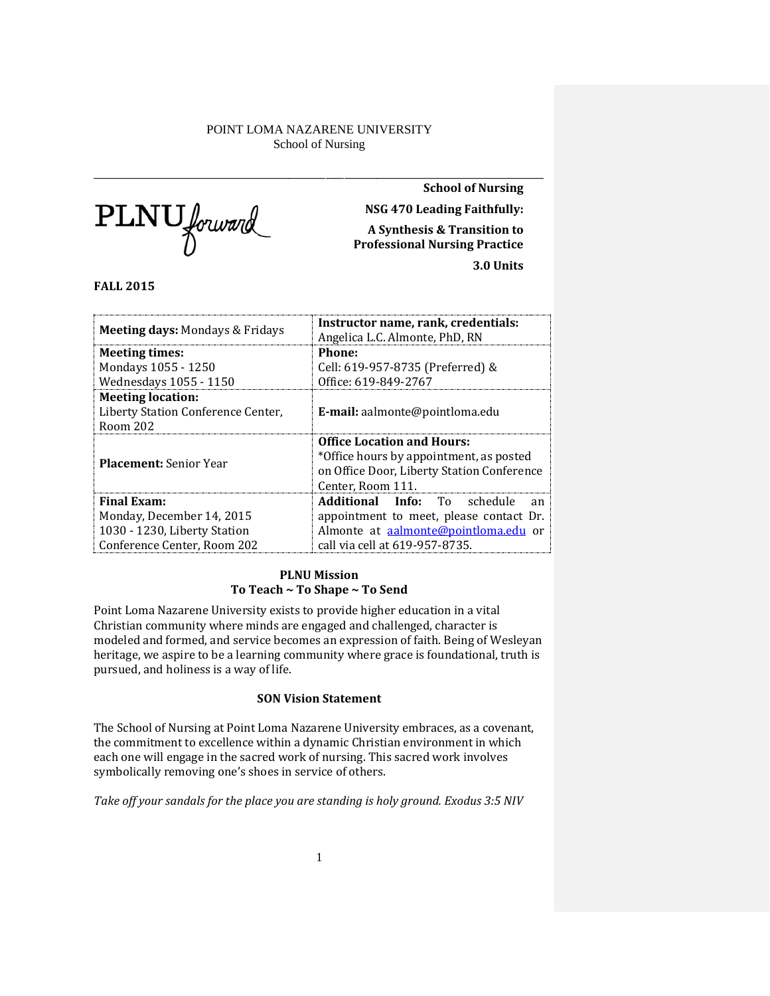PLNU forward

\_\_\_\_\_\_\_\_\_\_\_\_\_\_\_\_\_\_\_\_\_\_\_\_\_\_\_\_\_\_\_\_\_\_\_\_\_\_\_\_\_\_\_\_\_\_\_\_\_\_\_\_\_\_\_\_\_\_\_\_\_\_\_\_\_\_\_\_\_\_\_\_\_\_\_\_\_\_\_\_\_\_\_\_\_\_\_\_\_\_\_\_\_\_\_\_\_ **School of Nursing NSG 470 Leading Faithfully: A Synthesis & Transition to Professional Nursing Practice 3.0 Units**

**FALL 2015**

| <b>Meeting days: Mondays &amp; Fridays</b>                                 | Instructor name, rank, credentials:<br>Angelica L.C. Almonte, PhD, RN                                                                           |  |  |
|----------------------------------------------------------------------------|-------------------------------------------------------------------------------------------------------------------------------------------------|--|--|
| <b>Meeting times:</b>                                                      | Phone:                                                                                                                                          |  |  |
| Mondays 1055 - 1250                                                        | Cell: 619-957-8735 (Preferred) &                                                                                                                |  |  |
| Wednesdays 1055 - 1150                                                     | Office: 619-849-2767                                                                                                                            |  |  |
| <b>Meeting location:</b><br>Liberty Station Conference Center,<br>Room 202 | <b>E-mail:</b> aalmonte@pointloma.edu                                                                                                           |  |  |
| <b>Placement:</b> Senior Year                                              | <b>Office Location and Hours:</b><br>*Office hours by appointment, as posted<br>on Office Door, Liberty Station Conference<br>Center, Room 111. |  |  |
| <b>Final Exam:</b>                                                         | <b>Additional Info:</b> To schedule<br>an                                                                                                       |  |  |
| Monday, December 14, 2015                                                  | appointment to meet, please contact Dr.                                                                                                         |  |  |
| 1030 - 1230, Liberty Station                                               | Almonte at aalmonte@pointloma.edu or                                                                                                            |  |  |
| Conference Center, Room 202                                                | call via cell at 619-957-8735.                                                                                                                  |  |  |

## **PLNU Mission To Teach ~ To Shape ~ To Send**

Point Loma Nazarene University exists to provide higher education in a vital Christian community where minds are engaged and challenged, character is modeled and formed, and service becomes an expression of faith. Being of Wesleyan heritage, we aspire to be a learning community where grace is foundational, truth is pursued, and holiness is a way of life.

## **SON Vision Statement**

The School of Nursing at Point Loma Nazarene University embraces, as a covenant, the commitment to excellence within a dynamic Christian environment in which each one will engage in the sacred work of nursing. This sacred work involves symbolically removing one's shoes in service of others.

*Take off your sandals for the place you are standing is holy ground. Exodus 3:5 NIV*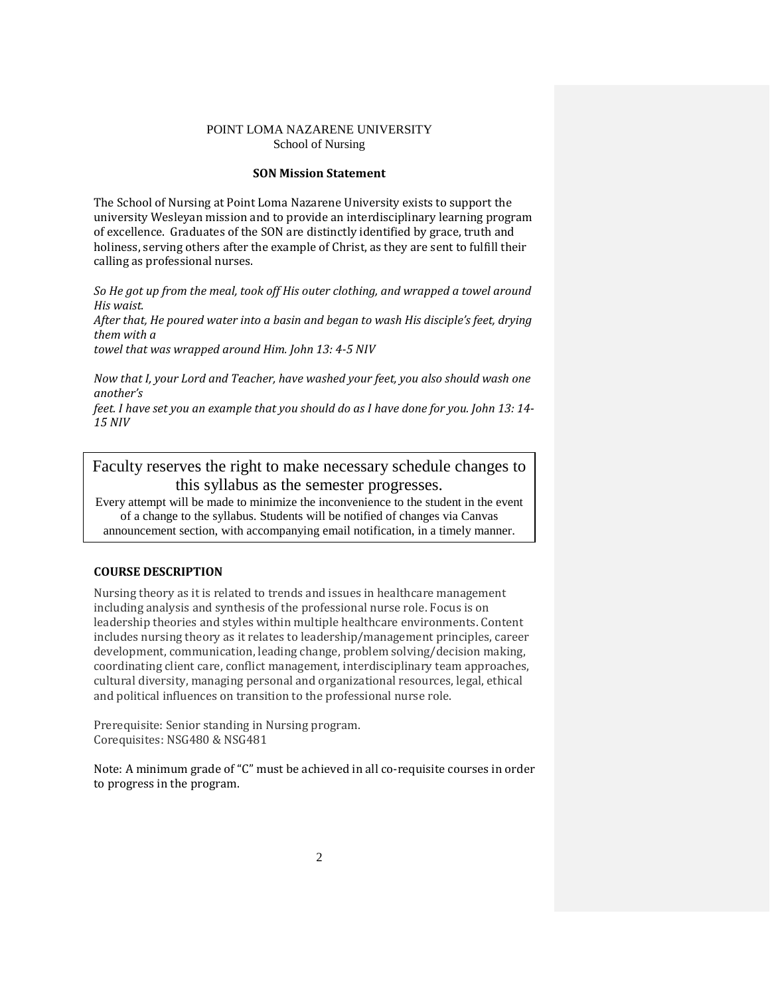### **SON Mission Statement**

The School of Nursing at Point Loma Nazarene University exists to support the university Wesleyan mission and to provide an interdisciplinary learning program of excellence. Graduates of the SON are distinctly identified by grace, truth and holiness, serving others after the example of Christ, as they are sent to fulfill their calling as professional nurses.

*So He got up from the meal, took off His outer clothing, and wrapped a towel around His waist.*

*After that, He poured water into a basin and began to wash His disciple's feet, drying them with a* 

*towel that was wrapped around Him. John 13: 4-5 NIV* 

*Now that I, your Lord and Teacher, have washed your feet, you also should wash one another's* 

*feet. I have set you an example that you should do as I have done for you. John 13: 14- 15 NIV* 

Faculty reserves the right to make necessary schedule changes to this syllabus as the semester progresses. Every attempt will be made to minimize the inconvenience to the student in the event

of a change to the syllabus. Students will be notified of changes via Canvas announcement section, with accompanying email notification, in a timely manner.

## **COURSE DESCRIPTION**

Nursing theory as it is related to trends and issues in healthcare management including analysis and synthesis of the professional nurse role. Focus is on leadership theories and styles within multiple healthcare environments. Content includes nursing theory as it relates to leadership/management principles, career development, communication, leading change, problem solving/decision making, coordinating client care, conflict management, interdisciplinary team approaches, cultural diversity, managing personal and organizational resources, legal, ethical and political influences on transition to the professional nurse role.

Prerequisite: Senior standing in Nursing program. Corequisites: NSG480 & NSG481

Note: A minimum grade of "C" must be achieved in all co-requisite courses in order to progress in the program.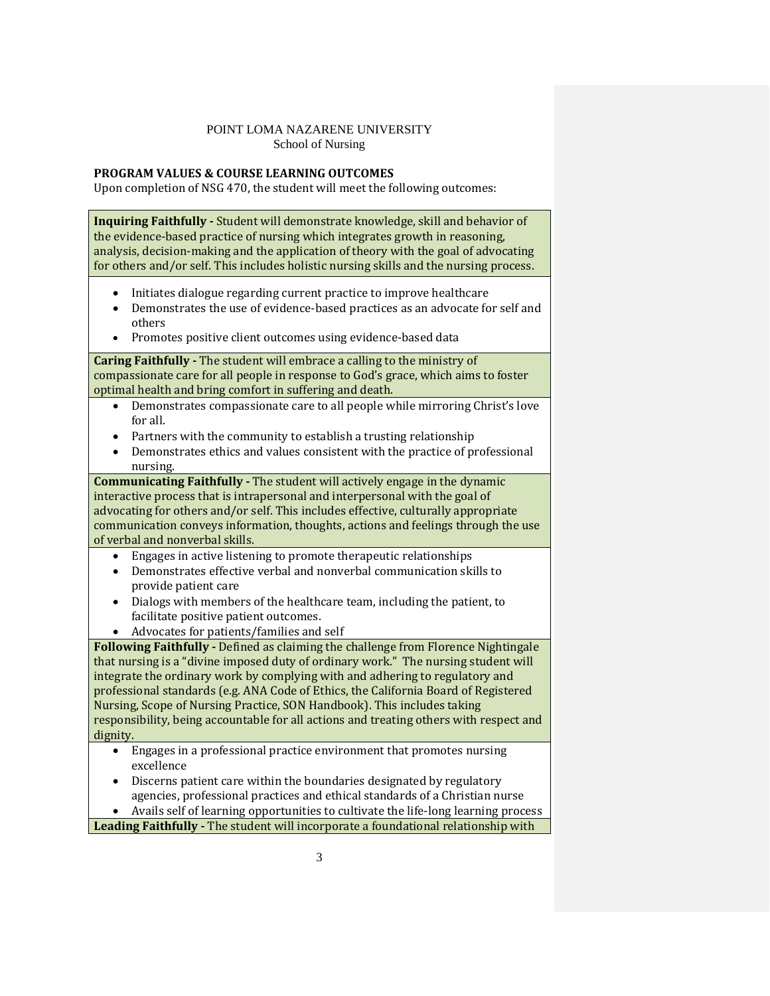## **PROGRAM VALUES & COURSE LEARNING OUTCOMES**

Upon completion of NSG 470, the student will meet the following outcomes:

**Inquiring Faithfully -** Student will demonstrate knowledge, skill and behavior of the evidence-based practice of nursing which integrates growth in reasoning, analysis, decision-making and the application of theory with the goal of advocating for others and/or self. This includes holistic nursing skills and the nursing process.

- Initiates dialogue regarding current practice to improve healthcare
- Demonstrates the use of evidence-based practices as an advocate for self and others
- Promotes positive client outcomes using evidence-based data

**Caring Faithfully -** The student will embrace a calling to the ministry of compassionate care for all people in response to God's grace, which aims to foster optimal health and bring comfort in suffering and death.

- Demonstrates compassionate care to all people while mirroring Christ's love for all.
- Partners with the community to establish a trusting relationship
- Demonstrates ethics and values consistent with the practice of professional nursing.

**Communicating Faithfully -** The student will actively engage in the dynamic interactive process that is intrapersonal and interpersonal with the goal of advocating for others and/or self. This includes effective, culturally appropriate communication conveys information, thoughts, actions and feelings through the use of verbal and nonverbal skills.

- Engages in active listening to promote therapeutic relationships
- Demonstrates effective verbal and nonverbal communication skills to provide patient care
- Dialogs with members of the healthcare team, including the patient, to facilitate positive patient outcomes.
- Advocates for patients/families and self

**Following Faithfully -** Defined as claiming the challenge from Florence Nightingale that nursing is a "divine imposed duty of ordinary work." The nursing student will integrate the ordinary work by complying with and adhering to regulatory and professional standards (e.g. ANA Code of Ethics, the California Board of Registered Nursing, Scope of Nursing Practice, SON Handbook). This includes taking responsibility, being accountable for all actions and treating others with respect and dignity.

- Engages in a professional practice environment that promotes nursing excellence
- Discerns patient care within the boundaries designated by regulatory agencies, professional practices and ethical standards of a Christian nurse • Avails self of learning opportunities to cultivate the life-long learning process

**Leading Faithfully -** The student will incorporate a foundational relationship with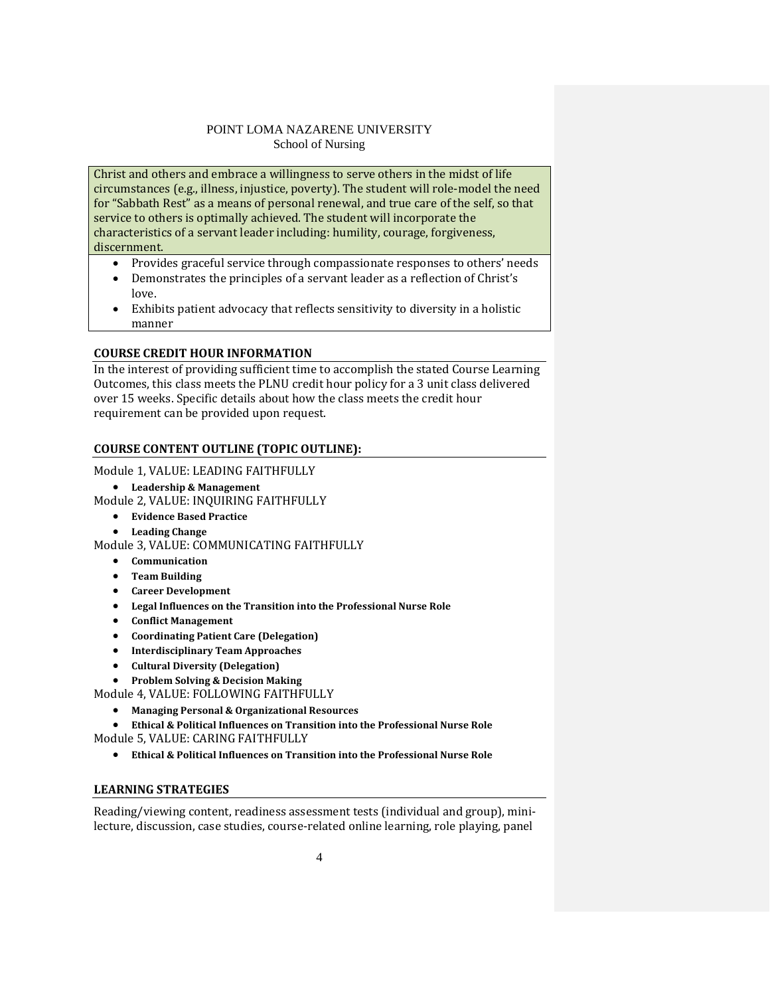Christ and others and embrace a willingness to serve others in the midst of life circumstances (e.g., illness, injustice, poverty). The student will role-model the need for "Sabbath Rest" as a means of personal renewal, and true care of the self, so that service to others is optimally achieved. The student will incorporate the characteristics of a servant leader including: humility, courage, forgiveness, discernment.

- Provides graceful service through compassionate responses to others' needs
- Demonstrates the principles of a servant leader as a reflection of Christ's love.
- Exhibits patient advocacy that reflects sensitivity to diversity in a holistic manner

## **COURSE CREDIT HOUR INFORMATION**

In the interest of providing sufficient time to accomplish the stated Course Learning Outcomes, this class meets the PLNU credit hour policy for a 3 unit class delivered over 15 weeks. Specific details about how the class meets the credit hour requirement can be provided upon request.

## **COURSE CONTENT OUTLINE (TOPIC OUTLINE):**

Module 1, VALUE: LEADING FAITHFULLY

• **Leadership & Management**

Module 2, VALUE: INQUIRING FAITHFULLY

- **Evidence Based Practice**
- **Leading Change**

Module 3, VALUE: COMMUNICATING FAITHFULLY

- **Communication**
- **Team Building**
- **Career Development**
- **Legal Influences on the Transition into the Professional Nurse Role**
- **Conflict Management**
- **Coordinating Patient Care (Delegation)**
- **Interdisciplinary Team Approaches**
- **Cultural Diversity (Delegation)**
- **Problem Solving & Decision Making**

Module 4, VALUE: FOLLOWING FAITHFULLY

• **Managing Personal & Organizational Resources**

• **Ethical & Political Influences on Transition into the Professional Nurse Role**

Module 5, VALUE: CARING FAITHFULLY

• **Ethical & Political Influences on Transition into the Professional Nurse Role**

## **LEARNING STRATEGIES**

Reading/viewing content, readiness assessment tests (individual and group), minilecture, discussion, case studies, course-related online learning, role playing, panel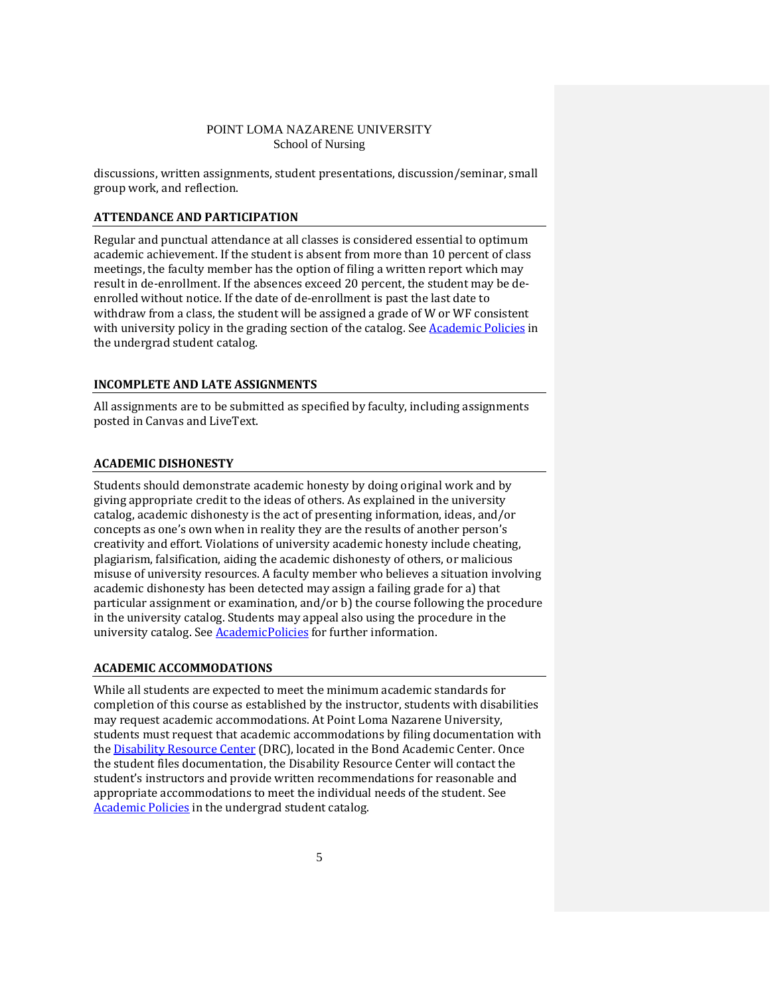discussions, written assignments, student presentations, discussion/seminar, small group work, and reflection.

## **ATTENDANCE AND PARTICIPATION**

Regular and punctual attendance at all classes is considered essential to optimum academic achievement. If the student is absent from more than 10 percent of class meetings, the faculty member has the option of filing a written report which may result in de-enrollment. If the absences exceed 20 percent, the student may be deenrolled without notice. If the date of de-enrollment is past the last date to withdraw from a class, the student will be assigned a grade of W or WF consistent with university policy in the grading section of the catalog. Se[e Academic Policies](http://www.pointloma.edu/experience/academics/catalogs/undergraduate-catalog/point-loma-education/academic-policies) in the undergrad student catalog.

### **INCOMPLETE AND LATE ASSIGNMENTS**

All assignments are to be submitted as specified by faculty, including assignments posted in Canvas and LiveText.

## **ACADEMIC DISHONESTY**

Students should demonstrate academic honesty by doing original work and by giving appropriate credit to the ideas of others. As explained in the university catalog, academic dishonesty is the act of presenting information, ideas, and/or concepts as one's own when in reality they are the results of another person's creativity and effort. Violations of university academic honesty include cheating, plagiarism, falsification, aiding the academic dishonesty of others, or malicious misuse of university resources. A faculty member who believes a situation involving academic dishonesty has been detected may assign a failing grade for a) that particular assignment or examination, and/or b) the course following the procedure in the university catalog. Students may appeal also using the procedure in the university catalog. See **AcademicPolicies** for further information.

### **ACADEMIC ACCOMMODATIONS**

While all students are expected to meet the minimum academic standards for completion of this course as established by the instructor, students with disabilities may request academic accommodations. At Point Loma Nazarene University, students must request that academic accommodations by filing documentation with the **Disability Resource Center** (DRC), located in the Bond Academic Center. Once the student files documentation, the Disability Resource Center will contact the student's instructors and provide written recommendations for reasonable and appropriate accommodations to meet the individual needs of the student. See [Academic Policies](http://www.pointloma.edu/experience/academics/catalogs/undergraduate-catalog/point-loma-education/academic-policies) in the undergrad student catalog.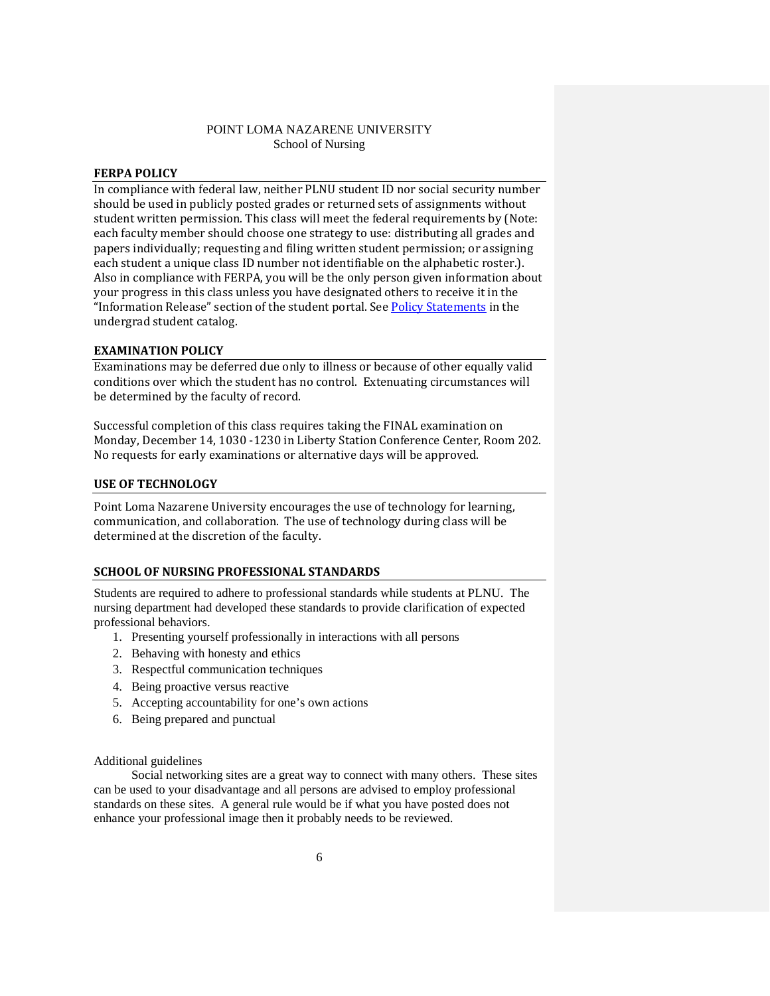### **FERPA POLICY**

In compliance with federal law, neither PLNU student ID nor social security number should be used in publicly posted grades or returned sets of assignments without student written permission. This class will meet the federal requirements by (Note: each faculty member should choose one strategy to use: distributing all grades and papers individually; requesting and filing written student permission; or assigning each student a unique class ID number not identifiable on the alphabetic roster.). Also in compliance with FERPA, you will be the only person given information about your progress in this class unless you have designated others to receive it in the "Information Release" section of the student portal. Se[e Policy Statements](http://www.pointloma.edu/experience/academics/catalogs/undergraduate-catalog/policy-statements) in the undergrad student catalog.

### **EXAMINATION POLICY**

Examinations may be deferred due only to illness or because of other equally valid conditions over which the student has no control. Extenuating circumstances will be determined by the faculty of record.

Successful completion of this class requires taking the FINAL examination on Monday, December 14, 1030 -1230 in Liberty Station Conference Center, Room 202. No requests for early examinations or alternative days will be approved.

### **USE OF TECHNOLOGY**

Point Loma Nazarene University encourages the use of technology for learning, communication, and collaboration. The use of technology during class will be determined at the discretion of the faculty.

### **SCHOOL OF NURSING PROFESSIONAL STANDARDS**

Students are required to adhere to professional standards while students at PLNU. The nursing department had developed these standards to provide clarification of expected professional behaviors.

- 1. Presenting yourself professionally in interactions with all persons
- 2. Behaving with honesty and ethics
- 3. Respectful communication techniques
- 4. Being proactive versus reactive
- 5. Accepting accountability for one's own actions
- 6. Being prepared and punctual

### Additional guidelines

Social networking sites are a great way to connect with many others. These sites can be used to your disadvantage and all persons are advised to employ professional standards on these sites. A general rule would be if what you have posted does not enhance your professional image then it probably needs to be reviewed.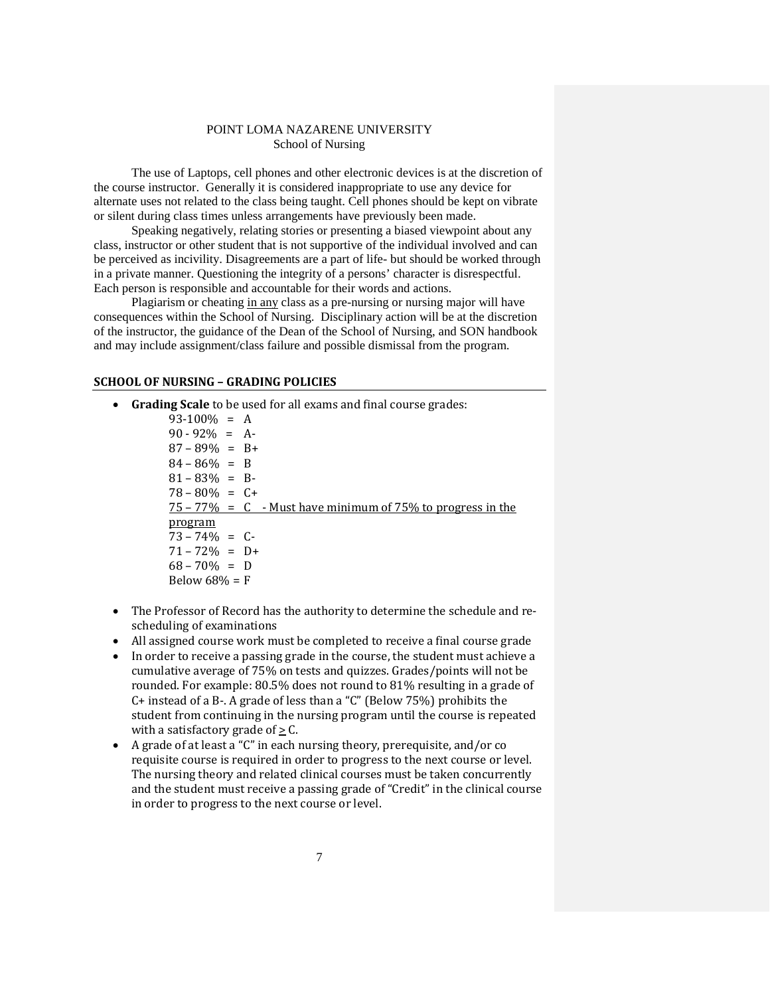The use of Laptops, cell phones and other electronic devices is at the discretion of the course instructor. Generally it is considered inappropriate to use any device for alternate uses not related to the class being taught. Cell phones should be kept on vibrate or silent during class times unless arrangements have previously been made.

Speaking negatively, relating stories or presenting a biased viewpoint about any class, instructor or other student that is not supportive of the individual involved and can be perceived as incivility. Disagreements are a part of life- but should be worked through in a private manner. Questioning the integrity of a persons' character is disrespectful. Each person is responsible and accountable for their words and actions.

Plagiarism or cheating in any class as a pre-nursing or nursing major will have consequences within the School of Nursing. Disciplinary action will be at the discretion of the instructor, the guidance of the Dean of the School of Nursing, and SON handbook and may include assignment/class failure and possible dismissal from the program.

### **SCHOOL OF NURSING – GRADING POLICIES**

• **Grading Scale** to be used for all exams and final course grades:

93-100% = A  $90 - 92\% = A$  $87 - 89\% = B +$  $84 - 86\% = B$ 81 – 83% = B- $78 - 80\% = C +$  $75 - 77\% = C$  - Must have minimum of 75% to progress in the program  $73 - 74\% = C$  $71 - 72\% = D+$  $68 - 70\% = D$ Below  $68% = F$ 

- The Professor of Record has the authority to determine the schedule and rescheduling of examinations
- All assigned course work must be completed to receive a final course grade
- In order to receive a passing grade in the course, the student must achieve a cumulative average of 75% on tests and quizzes. Grades/points will not be rounded. For example: 80.5% does not round to 81% resulting in a grade of C+ instead of a B-. A grade of less than a "C" (Below 75%) prohibits the student from continuing in the nursing program until the course is repeated with a satisfactory grade of  $> C$ .
- A grade of at least a "C" in each nursing theory, prerequisite, and/or co requisite course is required in order to progress to the next course or level. The nursing theory and related clinical courses must be taken concurrently and the student must receive a passing grade of "Credit" in the clinical course in order to progress to the next course or level.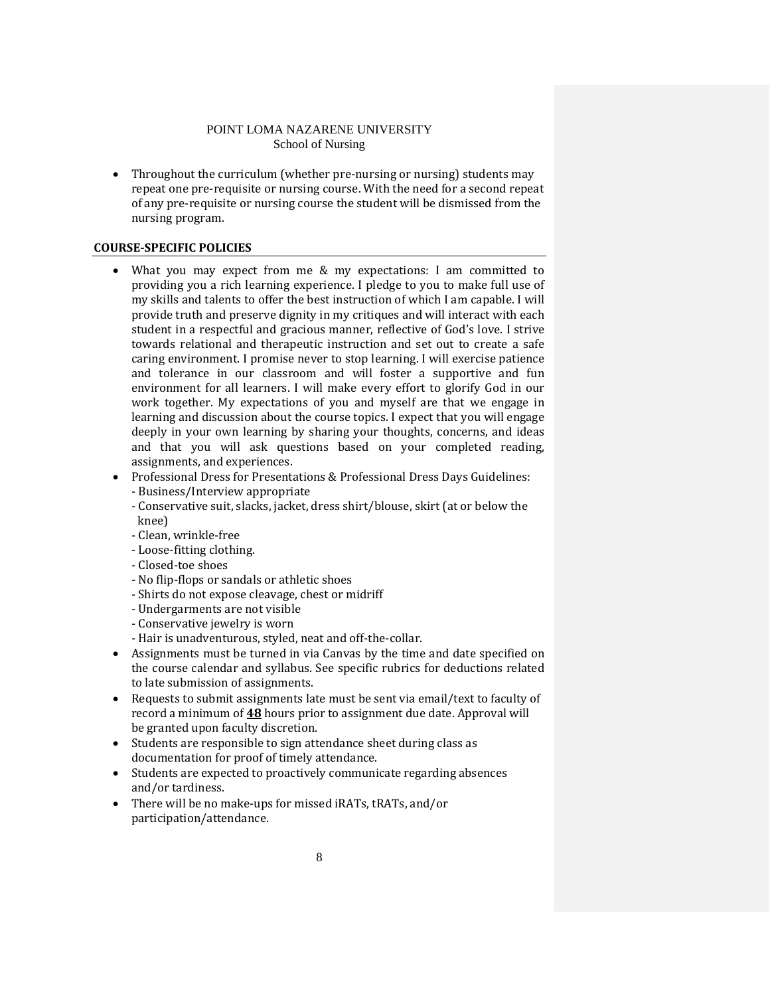• Throughout the curriculum (whether pre-nursing or nursing) students may repeat one pre-requisite or nursing course. With the need for a second repeat of any pre-requisite or nursing course the student will be dismissed from the nursing program.

## **COURSE-SPECIFIC POLICIES**

- What you may expect from me & my expectations: I am committed to providing you a rich learning experience. I pledge to you to make full use of my skills and talents to offer the best instruction of which I am capable. I will provide truth and preserve dignity in my critiques and will interact with each student in a respectful and gracious manner, reflective of God's love. I strive towards relational and therapeutic instruction and set out to create a safe caring environment. I promise never to stop learning. I will exercise patience and tolerance in our classroom and will foster a supportive and fun environment for all learners. I will make every effort to glorify God in our work together. My expectations of you and myself are that we engage in learning and discussion about the course topics. I expect that you will engage deeply in your own learning by sharing your thoughts, concerns, and ideas and that you will ask questions based on your completed reading, assignments, and experiences.
- Professional Dress for Presentations & Professional Dress Days Guidelines:
	- Business/Interview appropriate
		- Conservative suit, slacks, jacket, dress shirt/blouse, skirt (at or below the knee)
		- Clean, wrinkle-free
		- Loose-fitting clothing.
		- Closed-toe shoes
		- No flip-flops or sandals or athletic shoes
		- Shirts do not expose cleavage, chest or midriff
		- Undergarments are not visible
		- Conservative jewelry is worn
	- Hair is unadventurous, styled, neat and off-the-collar.
- Assignments must be turned in via Canvas by the time and date specified on the course calendar and syllabus. See specific rubrics for deductions related to late submission of assignments.
- Requests to submit assignments late must be sent via email/text to faculty of record a minimum of **48** hours prior to assignment due date. Approval will be granted upon faculty discretion.
- Students are responsible to sign attendance sheet during class as documentation for proof of timely attendance.
- Students are expected to proactively communicate regarding absences and/or tardiness.
- There will be no make-ups for missed iRATs, tRATs, and/or participation/attendance.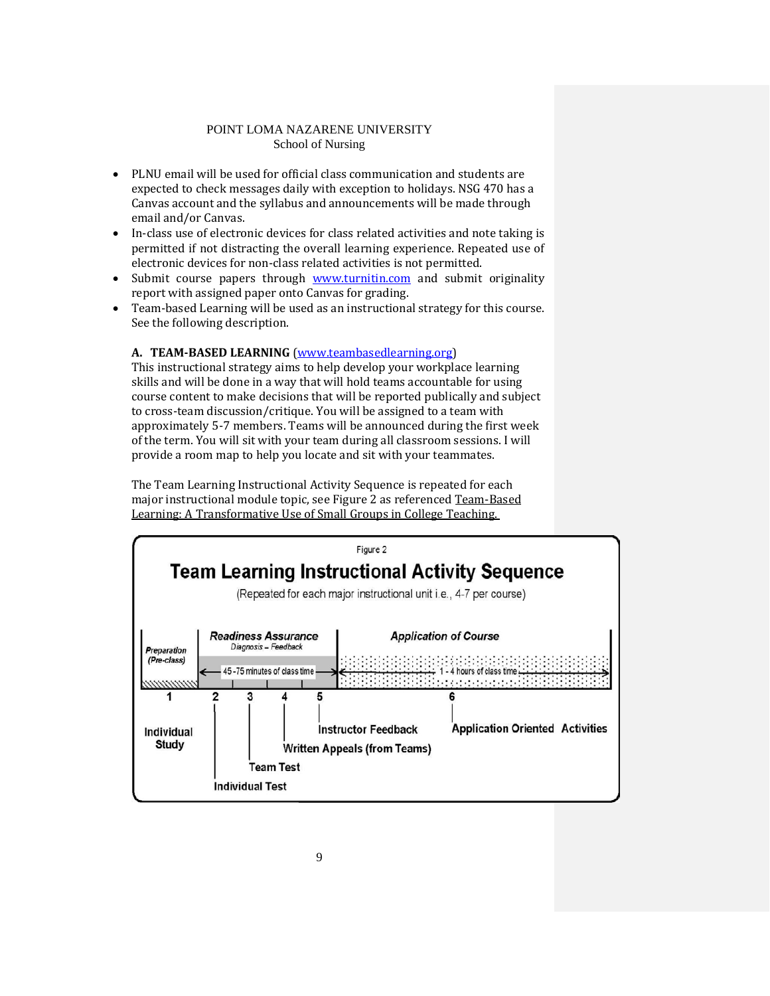- PLNU email will be used for official class communication and students are expected to check messages daily with exception to holidays. NSG 470 has a Canvas account and the syllabus and announcements will be made through email and/or Canvas.
- In-class use of electronic devices for class related activities and note taking is permitted if not distracting the overall learning experience. Repeated use of electronic devices for non-class related activities is not permitted.
- Submit course papers through [www.turnitin.com](http://www.turnitin.com/) and submit originality report with assigned paper onto Canvas for grading.
- Team-based Learning will be used as an instructional strategy for this course. See the following description.

## **A. TEAM-BASED LEARNING** [\(www.teambasedlearning.org\)](http://www.teambasedlearning.org/)

This instructional strategy aims to help develop your workplace learning skills and will be done in a way that will hold teams accountable for using course content to make decisions that will be reported publically and subject to cross-team discussion/critique. You will be assigned to a team with approximately 5-7 members. Teams will be announced during the first week of the term. You will sit with your team during all classroom sessions. I will provide a room map to help you locate and sit with your teammates.

The Team Learning Instructional Activity Sequence is repeated for each major instructional module topic, see Figure 2 as referenced Team-Based Learning: A Transformative Use of Small Groups in College Teaching.

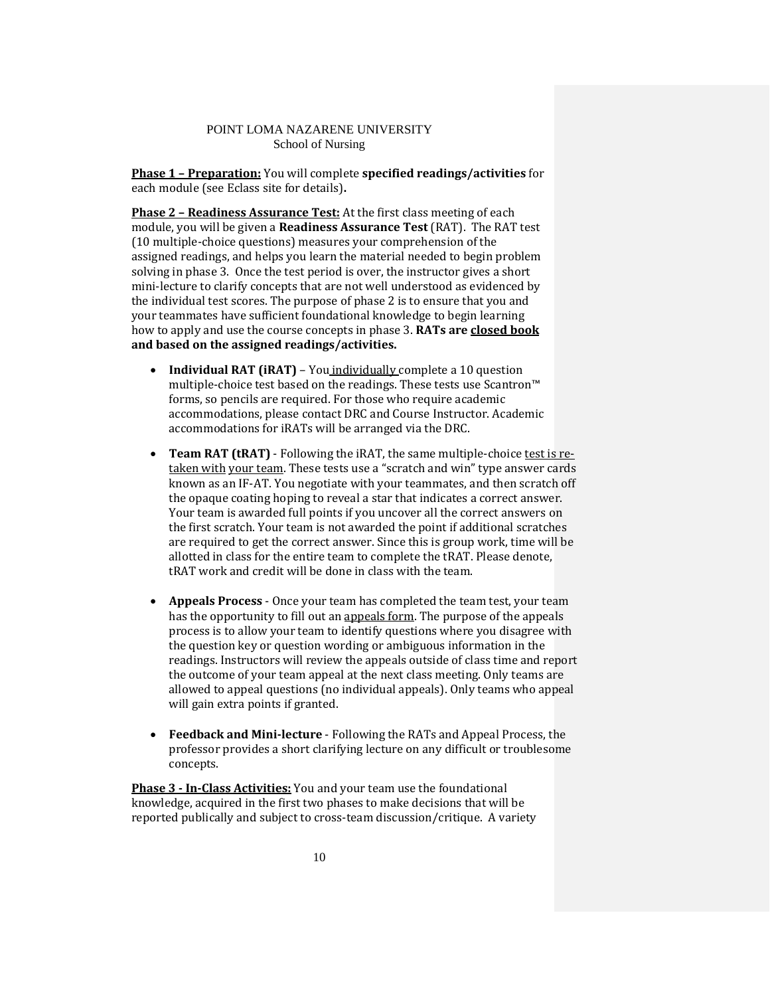**Phase 1 – Preparation:** You will complete **specified readings/activities** for each module (see Eclass site for details)**.**

**Phase 2 – Readiness Assurance Test:** At the first class meeting of each module, you will be given a **Readiness Assurance Test** (RAT). The RAT test (10 multiple-choice questions) measures your comprehension of the assigned readings, and helps you learn the material needed to begin problem solving in phase 3. Once the test period is over, the instructor gives a short mini-lecture to clarify concepts that are not well understood as evidenced by the individual test scores. The purpose of phase 2 is to ensure that you and your teammates have sufficient foundational knowledge to begin learning how to apply and use the course concepts in phase 3. **RATs are closed book and based on the assigned readings/activities.**

- **Individual RAT (iRAT)** You individually complete a 10 question multiple-choice test based on the readings. These tests use Scantron™ forms, so pencils are required. For those who require academic accommodations, please contact DRC and Course Instructor. Academic accommodations for iRATs will be arranged via the DRC.
- **Team RAT (tRAT)** Following the iRAT, the same multiple-choice test is retaken with your team. These tests use a "scratch and win" type answer cards known as an IF-AT. You negotiate with your teammates, and then scratch off the opaque coating hoping to reveal a star that indicates a correct answer. Your team is awarded full points if you uncover all the correct answers on the first scratch. Your team is not awarded the point if additional scratches are required to get the correct answer. Since this is group work, time will be allotted in class for the entire team to complete the tRAT. Please denote, tRAT work and credit will be done in class with the team.
- **Appeals Process** Once your team has completed the team test, your team has the opportunity to fill out an appeals form. The purpose of the appeals process is to allow your team to identify questions where you disagree with the question key or question wording or ambiguous information in the readings. Instructors will review the appeals outside of class time and report the outcome of your team appeal at the next class meeting. Only teams are allowed to appeal questions (no individual appeals). Only teams who appeal will gain extra points if granted.
- **Feedback and Mini-lecture** Following the RATs and Appeal Process, the professor provides a short clarifying lecture on any difficult or troublesome concepts.

**Phase 3 - In-Class Activities:** You and your team use the foundational knowledge, acquired in the first two phases to make decisions that will be reported publically and subject to cross-team discussion/critique. A variety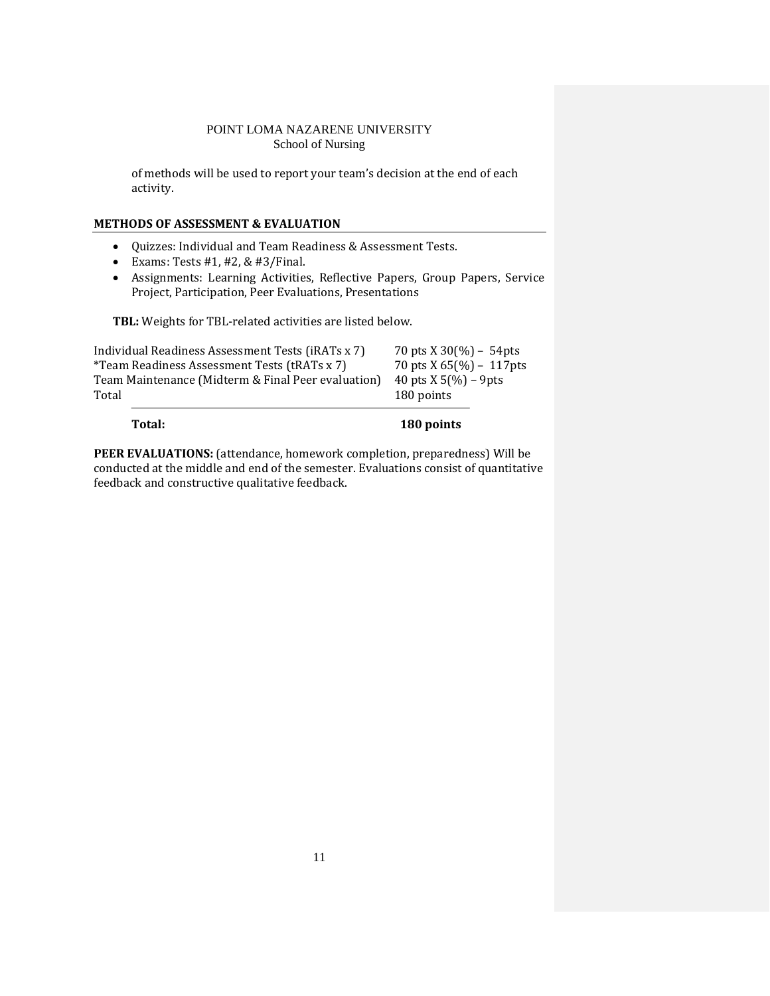of methods will be used to report your team's decision at the end of each activity.

## **METHODS OF ASSESSMENT & EVALUATION**

- Quizzes: Individual and Team Readiness & Assessment Tests.
- Exams: Tests  $#1, #2, & #3$ /Final.
- Assignments: Learning Activities, Reflective Papers, Group Papers, Service Project, Participation, Peer Evaluations, Presentations

**TBL:** Weights for TBL-related activities are listed below.

| Individual Readiness Assessment Tests (iRATs x 7)   | 70 pts $X$ 30(%) – 54 pts      |
|-----------------------------------------------------|--------------------------------|
| <i>*Team Readiness Assessment Tests (tRATs x 7)</i> | 70 pts $X$ 65(%) – 117 pts     |
| Team Maintenance (Midterm & Final Peer evaluation)  | 40 pts $X 5\frac{9}{0}$ – 9pts |
| Total                                               | 180 points                     |
|                                                     |                                |

**Total: 180 points**

PEER EVALUATIONS: (attendance, homework completion, preparedness) Will be conducted at the middle and end of the semester. Evaluations consist of quantitative feedback and constructive qualitative feedback.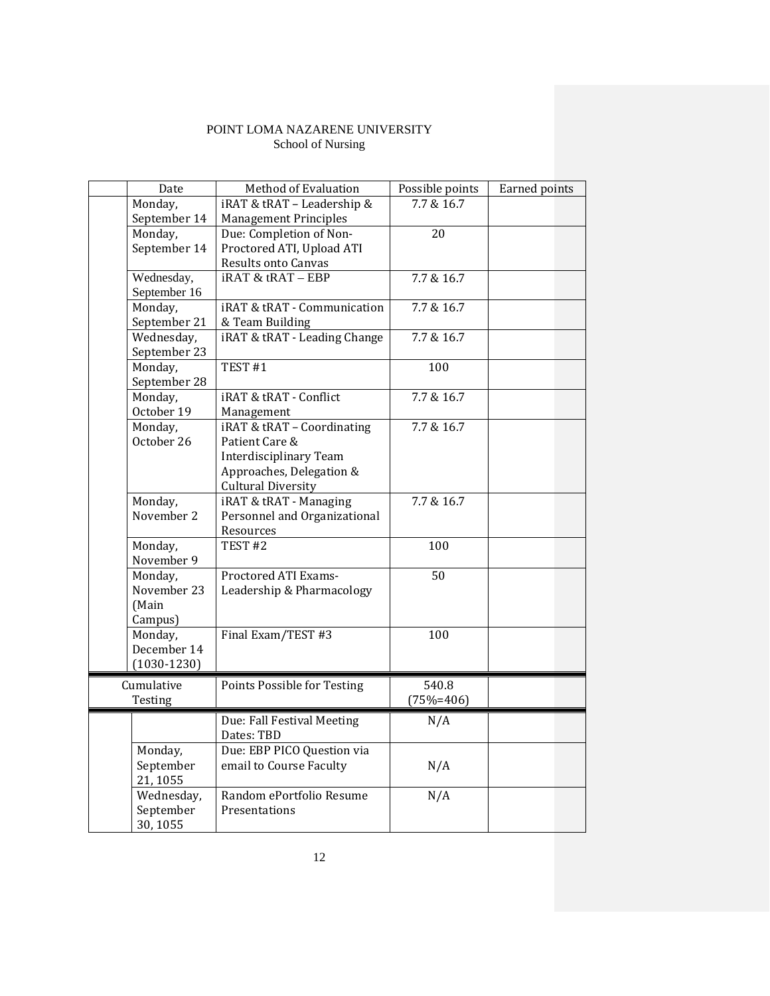| Date            | Method of Evaluation          | Possible points | Earned points |
|-----------------|-------------------------------|-----------------|---------------|
| Monday,         | iRAT & tRAT - Leadership &    | 7.7 & 16.7      |               |
| September 14    | <b>Management Principles</b>  |                 |               |
| Monday,         | Due: Completion of Non-       | 20              |               |
| September 14    | Proctored ATI, Upload ATI     |                 |               |
|                 | <b>Results onto Canvas</b>    |                 |               |
| Wednesday,      | $iRAT \& tRAT - EBP$          | 7.7 & 16.7      |               |
| September 16    |                               |                 |               |
| Monday,         | iRAT & tRAT - Communication   | 7.7 & 16.7      |               |
| September 21    | & Team Building               |                 |               |
| Wednesday,      | iRAT & tRAT - Leading Change  | 7.7 & 16.7      |               |
| September 23    |                               |                 |               |
| Monday,         | TEST <sub>#1</sub>            | 100             |               |
| September 28    |                               |                 |               |
| Monday,         | iRAT & tRAT - Conflict        | 7.7 & 16.7      |               |
| October 19      | Management                    |                 |               |
| Monday,         | iRAT & tRAT - Coordinating    | 7.7 & 16.7      |               |
| October 26      | Patient Care &                |                 |               |
|                 | <b>Interdisciplinary Team</b> |                 |               |
|                 | Approaches, Delegation &      |                 |               |
|                 | <b>Cultural Diversity</b>     |                 |               |
| Monday,         | iRAT & tRAT - Managing        | 7.7 & 16.7      |               |
| November 2      | Personnel and Organizational  |                 |               |
|                 | Resources                     |                 |               |
| Monday,         | TEST <sub>#2</sub>            | 100             |               |
| November 9      |                               |                 |               |
| Monday,         | Proctored ATI Exams-          | 50              |               |
| November 23     | Leadership & Pharmacology     |                 |               |
| (Main           |                               |                 |               |
| Campus)         |                               |                 |               |
| Monday,         | Final Exam/TEST #3            | 100             |               |
| December 14     |                               |                 |               |
| $(1030 - 1230)$ |                               |                 |               |
| Cumulative      | Points Possible for Testing   | 540.8           |               |
| Testing         |                               | $(75%=406)$     |               |
|                 |                               |                 |               |
|                 | Due: Fall Festival Meeting    | N/A             |               |
|                 | Dates: TBD                    |                 |               |
| Monday,         | Due: EBP PICO Question via    |                 |               |
| September       | email to Course Faculty       | N/A             |               |
| 21, 1055        |                               |                 |               |
| Wednesday,      | Random ePortfolio Resume      | N/A             |               |
| September       | Presentations                 |                 |               |
| 30,1055         |                               |                 |               |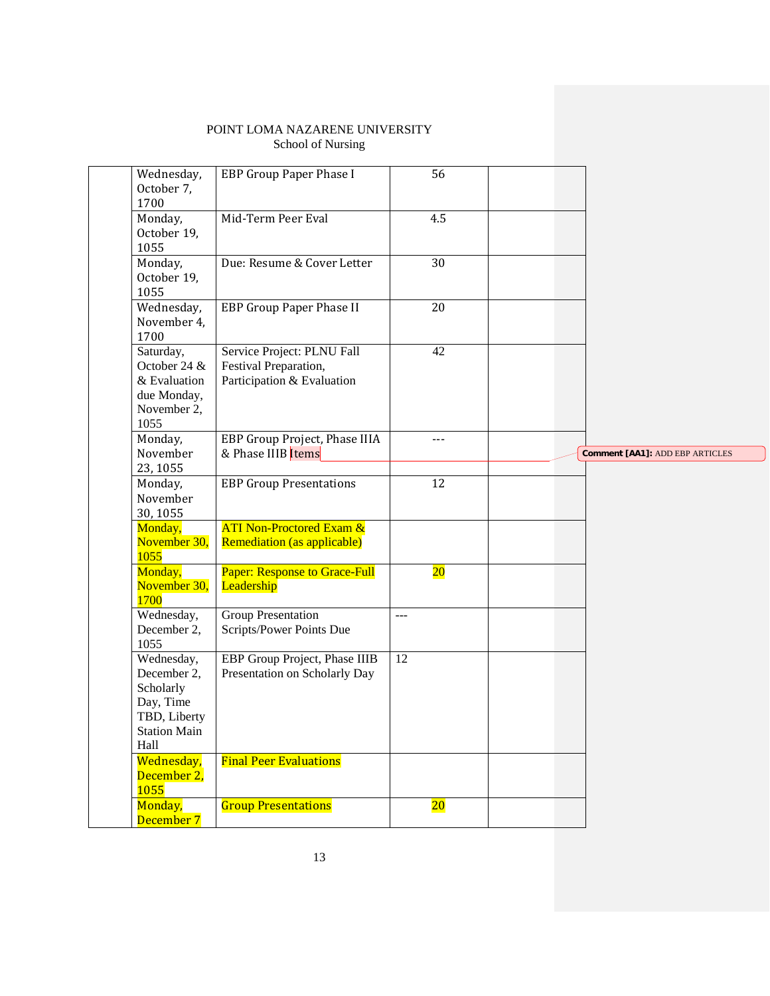| Wednesday,<br>October 7,<br>1700                                                                   | EBP Group Paper Phase I                                                           | 56              |                                        |
|----------------------------------------------------------------------------------------------------|-----------------------------------------------------------------------------------|-----------------|----------------------------------------|
| Monday,<br>October 19,<br>1055                                                                     | Mid-Term Peer Eval                                                                | 4.5             |                                        |
| Monday,<br>October 19,<br>1055                                                                     | Due: Resume & Cover Letter                                                        | 30              |                                        |
| Wednesday,<br>November 4,<br>1700                                                                  | <b>EBP Group Paper Phase II</b>                                                   | 20              |                                        |
| Saturday,<br>October 24 &<br>& Evaluation<br>due Monday,<br>November 2,<br>1055                    | Service Project: PLNU Fall<br>Festival Preparation,<br>Participation & Evaluation | 42              |                                        |
| Monday,<br>November                                                                                | EBP Group Project, Phase IIIA<br>& Phase IIIB Items                               | ---             | <b>Comment [AA1]: ADD EBP ARTICLES</b> |
| 23, 1055<br>Monday,<br>November<br>30, 1055                                                        | <b>EBP Group Presentations</b>                                                    | 12              |                                        |
| Monday,<br>November 30,<br>1055                                                                    | <b>ATI Non-Proctored Exam &amp;</b><br>Remediation (as applicable)                |                 |                                        |
| Monday,<br>November 30,<br>1700                                                                    | <b>Paper: Response to Grace-Full</b><br>Leadership                                | $20\,$          |                                        |
| Wednesday,<br>December 2,<br>1055                                                                  | <b>Group Presentation</b><br>Scripts/Power Points Due                             | $---$           |                                        |
| Wednesday,<br>December 2,<br>Scholarly<br>Day, Time<br>TBD, Liberty<br><b>Station Main</b><br>Hall | EBP Group Project, Phase IIIB<br>Presentation on Scholarly Day                    | $\overline{12}$ |                                        |
| Wednesday,<br>December 2,<br>1055                                                                  | <b>Final Peer Evaluations</b>                                                     |                 |                                        |
| Monday,<br>December 7                                                                              | <b>Group Presentations</b>                                                        | $20\,$          |                                        |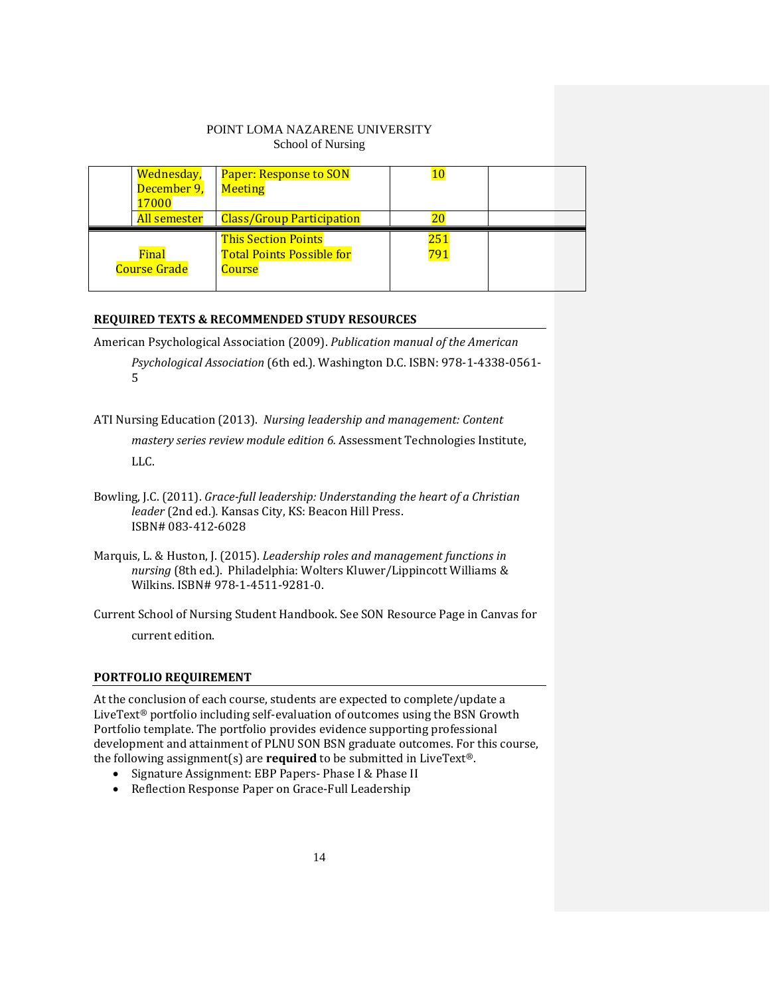|             | Wednesday,          | <b>Paper: Response to SON</b>    |     |  |
|-------------|---------------------|----------------------------------|-----|--|
| December 9, |                     | <b>Meeting</b>                   |     |  |
|             | 17000               |                                  |     |  |
|             | All semester        | <b>Class/Group Participation</b> |     |  |
|             |                     |                                  |     |  |
|             |                     | <b>This Section Points</b>       | 251 |  |
|             | Final               | <b>Total Points Possible for</b> | 791 |  |
|             | <b>Course Grade</b> | Course                           |     |  |

## **REQUIRED TEXTS & RECOMMENDED STUDY RESOURCES**

American Psychological Association (2009). *Publication manual of the American Psychological Association* (6th ed.). Washington D.C. ISBN: 978-1-4338-0561- 5

ATI Nursing Education (2013). *Nursing leadership and management: Content mastery series review module edition 6.* Assessment Technologies Institute, LLC.

Marquis, L. & Huston, J. (2015). *Leadership roles and management functions in nursing* (8th ed.). Philadelphia: Wolters Kluwer/Lippincott Williams & Wilkins. ISBN# 978-1-4511-9281-0.

Current School of Nursing Student Handbook. See SON Resource Page in Canvas for current edition.

## **PORTFOLIO REQUIREMENT**

At the conclusion of each course, students are expected to complete/update a LiveText® portfolio including self-evaluation of outcomes using the BSN Growth Portfolio template. The portfolio provides evidence supporting professional development and attainment of PLNU SON BSN graduate outcomes. For this course, the following assignment(s) are **required** to be submitted in LiveText®.

- Signature Assignment: EBP Papers- Phase I & Phase II
- Reflection Response Paper on Grace-Full Leadership

Bowling, J.C. (2011). *Grace-full leadership: Understanding the heart of a Christian leader* (2nd ed.)*.* Kansas City, KS: Beacon Hill Press. ISBN# 083-412-6028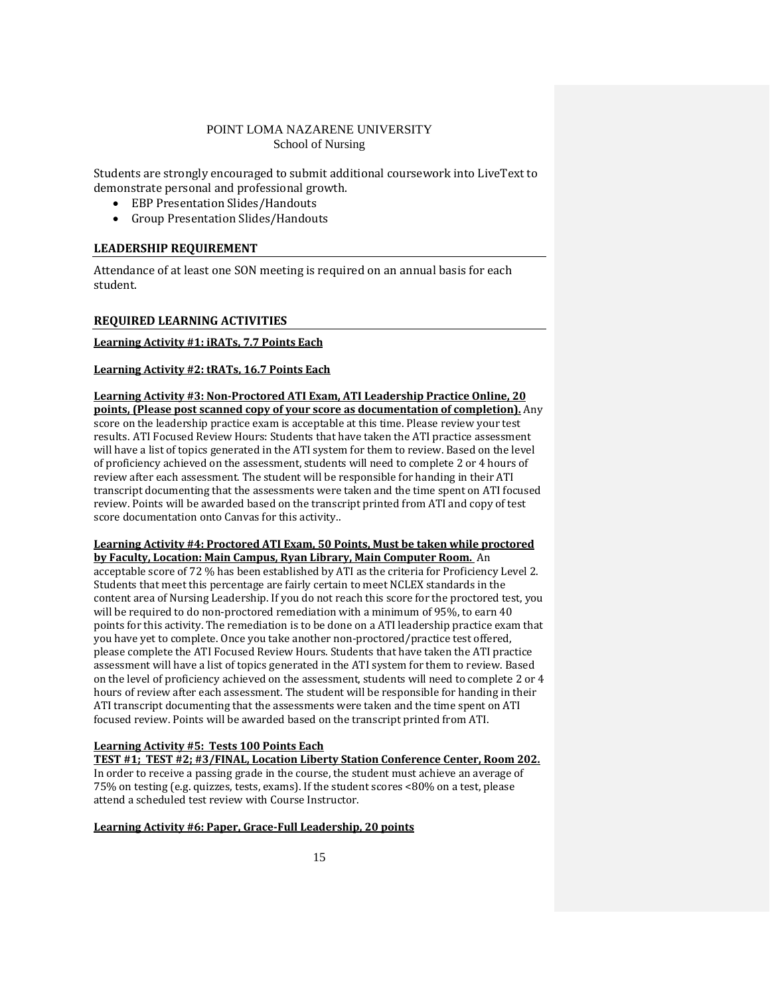Students are strongly encouraged to submit additional coursework into LiveText to demonstrate personal and professional growth.

- EBP Presentation Slides/Handouts
- Group Presentation Slides/Handouts

## **LEADERSHIP REQUIREMENT**

Attendance of at least one SON meeting is required on an annual basis for each student.

## **REQUIRED LEARNING ACTIVITIES**

### **Learning Activity #1: iRATs, 7.7 Points Each**

### **Learning Activity #2: tRATs, 16.7 Points Each**

### **Learning Activity #3: Non-Proctored ATI Exam, ATI Leadership Practice Online, 20**

**points, (Please post scanned copy of your score as documentation of completion).** Any score on the leadership practice exam is acceptable at this time. Please review your test results. ATI Focused Review Hours: Students that have taken the ATI practice assessment will have a list of topics generated in the ATI system for them to review. Based on the level of proficiency achieved on the assessment, students will need to complete 2 or 4 hours of review after each assessment. The student will be responsible for handing in their ATI transcript documenting that the assessments were taken and the time spent on ATI focused review. Points will be awarded based on the transcript printed from ATI and copy of test score documentation onto Canvas for this activity..

### **Learning Activity #4: Proctored ATI Exam, 50 Points, Must be taken while proctored by Faculty, Location: Main Campus, Ryan Library, Main Computer Room.** An

acceptable score of 72 % has been established by ATI as the criteria for Proficiency Level 2. Students that meet this percentage are fairly certain to meet NCLEX standards in the content area of Nursing Leadership. If you do not reach this score for the proctored test, you will be required to do non-proctored remediation with a minimum of 95%, to earn 40 points for this activity. The remediation is to be done on a ATI leadership practice exam that you have yet to complete. Once you take another non-proctored/practice test offered, please complete the ATI Focused Review Hours. Students that have taken the ATI practice assessment will have a list of topics generated in the ATI system for them to review. Based on the level of proficiency achieved on the assessment, students will need to complete 2 or 4 hours of review after each assessment. The student will be responsible for handing in their ATI transcript documenting that the assessments were taken and the time spent on ATI focused review. Points will be awarded based on the transcript printed from ATI.

## **Learning Activity #5: Tests 100 Points Each**

**TEST #1; TEST #2; #3/FINAL, Location Liberty Station Conference Center, Room 202.** In order to receive a passing grade in the course, the student must achieve an average of 75% on testing (e.g. quizzes, tests, exams). If the student scores <80% on a test, please attend a scheduled test review with Course Instructor.

## **Learning Activity #6: Paper, Grace-Full Leadership, 20 points**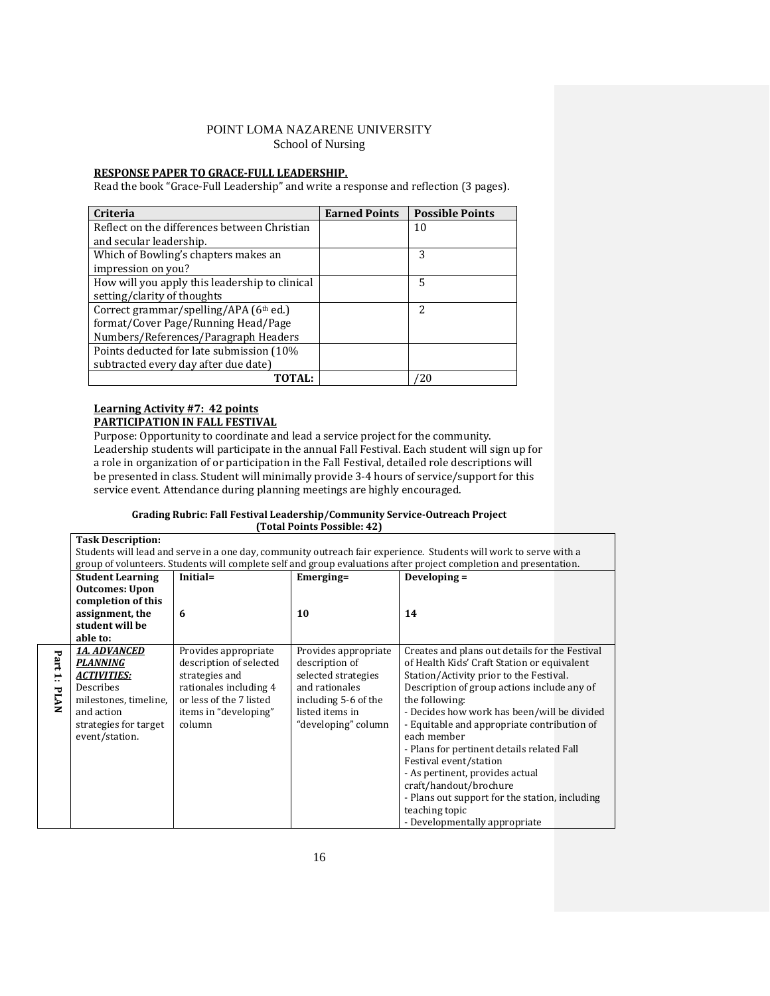### **RESPONSE PAPER TO GRACE-FULL LEADERSHIP.**

Read the book "Grace-Full Leadership" and write a response and reflection (3 pages).

| Criteria                                       | <b>Earned Points</b> | <b>Possible Points</b> |
|------------------------------------------------|----------------------|------------------------|
| Reflect on the differences between Christian   |                      | 10                     |
| and secular leadership.                        |                      |                        |
| Which of Bowling's chapters makes an           |                      | 3                      |
| impression on you?                             |                      |                        |
| How will you apply this leadership to clinical |                      | 5                      |
| setting/clarity of thoughts                    |                      |                        |
| Correct grammar/spelling/APA (6th ed.)         |                      | 2                      |
| format/Cover Page/Running Head/Page            |                      |                        |
| Numbers/References/Paragraph Headers           |                      |                        |
| Points deducted for late submission (10%       |                      |                        |
| subtracted every day after due date)           |                      |                        |
| <b>TOTAL:</b>                                  |                      | ′20                    |

### **Learning Activity #7: 42 points PARTICIPATION IN FALL FESTIVAL**

Purpose: Opportunity to coordinate and lead a service project for the community. Leadership students will participate in the annual Fall Festival. Each student will sign up for a role in organization of or participation in the Fall Festival, detailed role descriptions will be presented in class. Student will minimally provide 3-4 hours of service/support for this service event. Attendance during planning meetings are highly encouraged.

#### **Grading Rubric: Fall Festival Leadership/Community Service-Outreach Project (Total Points Possible: 42)**

|             | <b>Task Description:</b>                                                                                          |                         |                                       |                                                                                                                   |  |  |
|-------------|-------------------------------------------------------------------------------------------------------------------|-------------------------|---------------------------------------|-------------------------------------------------------------------------------------------------------------------|--|--|
|             |                                                                                                                   |                         |                                       | Students will lead and serve in a one day, community outreach fair experience. Students will work to serve with a |  |  |
|             | group of volunteers. Students will complete self and group evaluations after project completion and presentation. |                         |                                       |                                                                                                                   |  |  |
|             | <b>Student Learning</b>                                                                                           | Initial=                | Emerging=                             | Developing =                                                                                                      |  |  |
|             | <b>Outcomes: Upon</b>                                                                                             |                         |                                       |                                                                                                                   |  |  |
|             | completion of this                                                                                                |                         |                                       |                                                                                                                   |  |  |
|             | assignment, the                                                                                                   | 6                       | 10                                    | 14                                                                                                                |  |  |
|             | student will be                                                                                                   |                         |                                       |                                                                                                                   |  |  |
|             | able to:                                                                                                          |                         |                                       |                                                                                                                   |  |  |
| Part        | <b>1A. ADVANCED</b>                                                                                               | Provides appropriate    | Provides appropriate                  | Creates and plans out details for the Festival                                                                    |  |  |
|             | <b>PLANNING</b>                                                                                                   | description of selected | description of<br>selected strategies | of Health Kids' Craft Station or equivalent                                                                       |  |  |
| H           | <b>ACTIVITIES:</b>                                                                                                | strategies and          |                                       | Station/Activity prior to the Festival.                                                                           |  |  |
| <b>PLAN</b> | Describes                                                                                                         | rationales including 4  | and rationales                        | Description of group actions include any of                                                                       |  |  |
|             | milestones, timeline,                                                                                             | or less of the 7 listed | including 5-6 of the                  | the following:                                                                                                    |  |  |
|             | and action                                                                                                        | items in "developing"   | listed items in                       | - Decides how work has been/will be divided                                                                       |  |  |
|             | strategies for target                                                                                             | column                  | "developing" column                   | - Equitable and appropriate contribution of                                                                       |  |  |
|             | event/station.                                                                                                    |                         |                                       | each member                                                                                                       |  |  |
|             |                                                                                                                   |                         |                                       | - Plans for pertinent details related Fall                                                                        |  |  |
|             |                                                                                                                   |                         |                                       | Festival event/station                                                                                            |  |  |
|             |                                                                                                                   |                         |                                       | - As pertinent, provides actual                                                                                   |  |  |
|             |                                                                                                                   |                         |                                       | craft/handout/brochure                                                                                            |  |  |
|             |                                                                                                                   |                         |                                       | - Plans out support for the station, including                                                                    |  |  |
|             |                                                                                                                   |                         |                                       | teaching topic                                                                                                    |  |  |
|             |                                                                                                                   |                         |                                       | - Developmentally appropriate                                                                                     |  |  |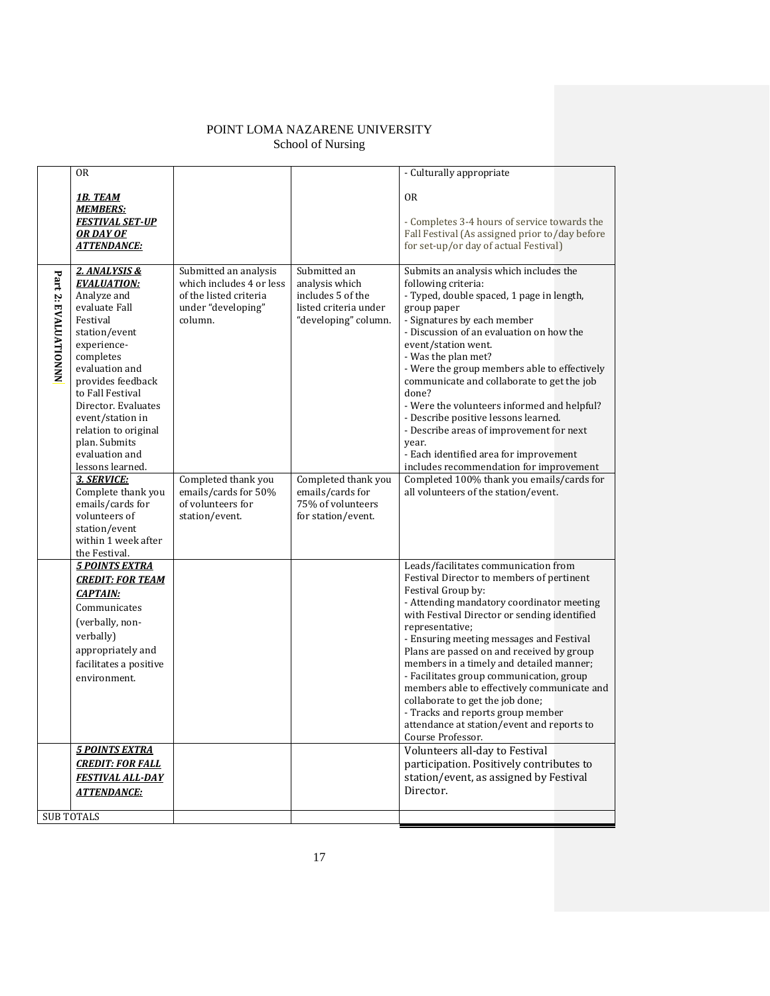|                      | <b>OR</b>                               |                          |                       | - Culturally appropriate                                                            |
|----------------------|-----------------------------------------|--------------------------|-----------------------|-------------------------------------------------------------------------------------|
|                      | <b>1B. TEAM</b>                         |                          |                       | 0 <sub>R</sub>                                                                      |
|                      | <b>MEMBERS:</b>                         |                          |                       |                                                                                     |
|                      | <b>FESTIVAL SET-UP</b>                  |                          |                       | - Completes 3-4 hours of service towards the                                        |
|                      | OR DAY OF                               |                          |                       | Fall Festival (As assigned prior to/day before                                      |
|                      | <b>ATTENDANCE:</b>                      |                          |                       | for set-up/or day of actual Festival)                                               |
|                      |                                         |                          |                       |                                                                                     |
|                      | 2. ANALYSIS &                           | Submitted an analysis    | Submitted an          | Submits an analysis which includes the                                              |
| Part 2: EVALUATIONNN | <b>EVALUATION:</b>                      | which includes 4 or less | analysis which        | following criteria:                                                                 |
|                      | Analyze and                             | of the listed criteria   | includes 5 of the     | - Typed, double spaced, 1 page in length,                                           |
|                      | evaluate Fall                           | under "developing"       | listed criteria under | group paper                                                                         |
|                      | Festival                                | column.                  | "developing" column.  | - Signatures by each member                                                         |
|                      | station/event                           |                          |                       | - Discussion of an evaluation on how the                                            |
|                      | experience-                             |                          |                       | event/station went.                                                                 |
|                      | completes                               |                          |                       | - Was the plan met?                                                                 |
|                      | evaluation and                          |                          |                       | - Were the group members able to effectively                                        |
|                      | provides feedback                       |                          |                       | communicate and collaborate to get the job                                          |
|                      | to Fall Festival<br>Director. Evaluates |                          |                       | done?                                                                               |
|                      | event/station in                        |                          |                       | - Were the volunteers informed and helpful?<br>- Describe positive lessons learned. |
|                      | relation to original                    |                          |                       | - Describe areas of improvement for next                                            |
|                      | plan. Submits                           |                          |                       | vear.                                                                               |
|                      | evaluation and                          |                          |                       | - Each identified area for improvement                                              |
|                      | lessons learned.                        |                          |                       | includes recommendation for improvement                                             |
|                      | 3. SERVICE:                             | Completed thank you      | Completed thank you   | Completed 100% thank you emails/cards for                                           |
|                      | Complete thank you                      | emails/cards for 50%     | emails/cards for      | all volunteers of the station/event.                                                |
|                      | emails/cards for                        | of volunteers for        | 75% of volunteers     |                                                                                     |
|                      | volunteers of                           | station/event.           | for station/event.    |                                                                                     |
|                      | station/event                           |                          |                       |                                                                                     |
|                      | within 1 week after                     |                          |                       |                                                                                     |
|                      | the Festival.                           |                          |                       |                                                                                     |
|                      | <b>5 POINTS EXTRA</b>                   |                          |                       | Leads/facilitates communication from                                                |
|                      | <b>CREDIT: FOR TEAM</b>                 |                          |                       | Festival Director to members of pertinent                                           |
|                      | <b>CAPTAIN:</b>                         |                          |                       | Festival Group by:<br>- Attending mandatory coordinator meeting                     |
|                      | Communicates                            |                          |                       | with Festival Director or sending identified                                        |
|                      | (verbally, non-                         |                          |                       | representative;                                                                     |
|                      | verbally)                               |                          |                       | - Ensuring meeting messages and Festival                                            |
|                      | appropriately and                       |                          |                       | Plans are passed on and received by group                                           |
|                      | facilitates a positive                  |                          |                       | members in a timely and detailed manner;                                            |
|                      | environment.                            |                          |                       | - Facilitates group communication, group                                            |
|                      |                                         |                          |                       | members able to effectively communicate and                                         |
|                      |                                         |                          |                       | collaborate to get the job done;                                                    |
|                      |                                         |                          |                       | - Tracks and reports group member                                                   |
|                      |                                         |                          |                       | attendance at station/event and reports to                                          |
|                      |                                         |                          |                       | Course Professor.                                                                   |
|                      | <b>5 POINTS EXTRA</b>                   |                          |                       | Volunteers all-day to Festival                                                      |
|                      | <b>CREDIT: FOR FALL</b>                 |                          |                       | participation. Positively contributes to                                            |
|                      | <b>FESTIVAL ALL-DAY</b>                 |                          |                       | station/event, as assigned by Festival                                              |
|                      | <b>ATTENDANCE:</b>                      |                          |                       | Director.                                                                           |
|                      |                                         |                          |                       |                                                                                     |
|                      | <b>SUB TOTALS</b>                       |                          |                       |                                                                                     |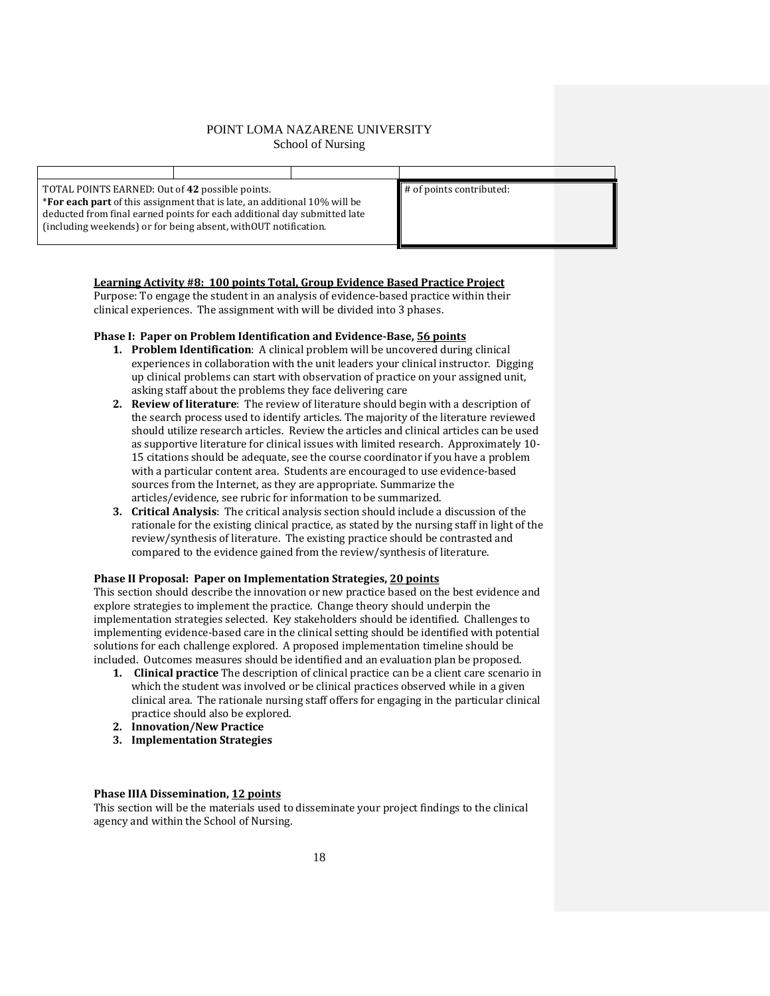TOTAL POINTS EARNED: Out of **42** possible points. \***For each part** of this assignment that is late, an additional 10% will be deducted from final earned points for each additional day submitted late (including weekends) or for being absent, withOUT notification.

# of points contributed:

## **Learning Activity #8: 100 points Total, Group Evidence Based Practice Project**

Purpose: To engage the student in an analysis of evidence-based practice within their clinical experiences. The assignment with will be divided into 3 phases.

### **Phase I: Paper on Problem Identification and Evidence-Base, 56 points**

- **1. Problem Identification**: A clinical problem will be uncovered during clinical experiences in collaboration with the unit leaders your clinical instructor. Digging up clinical problems can start with observation of practice on your assigned unit, asking staff about the problems they face delivering care
- **2. Review of literature**: The review of literature should begin with a description of the search process used to identify articles. The majority of the literature reviewed should utilize research articles. Review the articles and clinical articles can be used as supportive literature for clinical issues with limited research. Approximately 10- 15 citations should be adequate, see the course coordinator if you have a problem with a particular content area. Students are encouraged to use evidence-based sources from the Internet, as they are appropriate. Summarize the articles/evidence, see rubric for information to be summarized.
- **3. Critical Analysis**: The critical analysis section should include a discussion of the rationale for the existing clinical practice, as stated by the nursing staff in light of the review/synthesis of literature. The existing practice should be contrasted and compared to the evidence gained from the review/synthesis of literature.

## **Phase II Proposal: Paper on Implementation Strategies, 20 points**

This section should describe the innovation or new practice based on the best evidence and explore strategies to implement the practice. Change theory should underpin the implementation strategies selected. Key stakeholders should be identified. Challenges to implementing evidence-based care in the clinical setting should be identified with potential solutions for each challenge explored. A proposed implementation timeline should be included. Outcomes measures should be identified and an evaluation plan be proposed.

- **1. Clinical practice** The description of clinical practice can be a client care scenario in which the student was involved or be clinical practices observed while in a given clinical area. The rationale nursing staff offers for engaging in the particular clinical practice should also be explored.
- **2. Innovation/New Practice**
- **3. Implementation Strategies**

### **Phase IIIA Dissemination, 12 points**

This section will be the materials used to disseminate your project findings to the clinical agency and within the School of Nursing.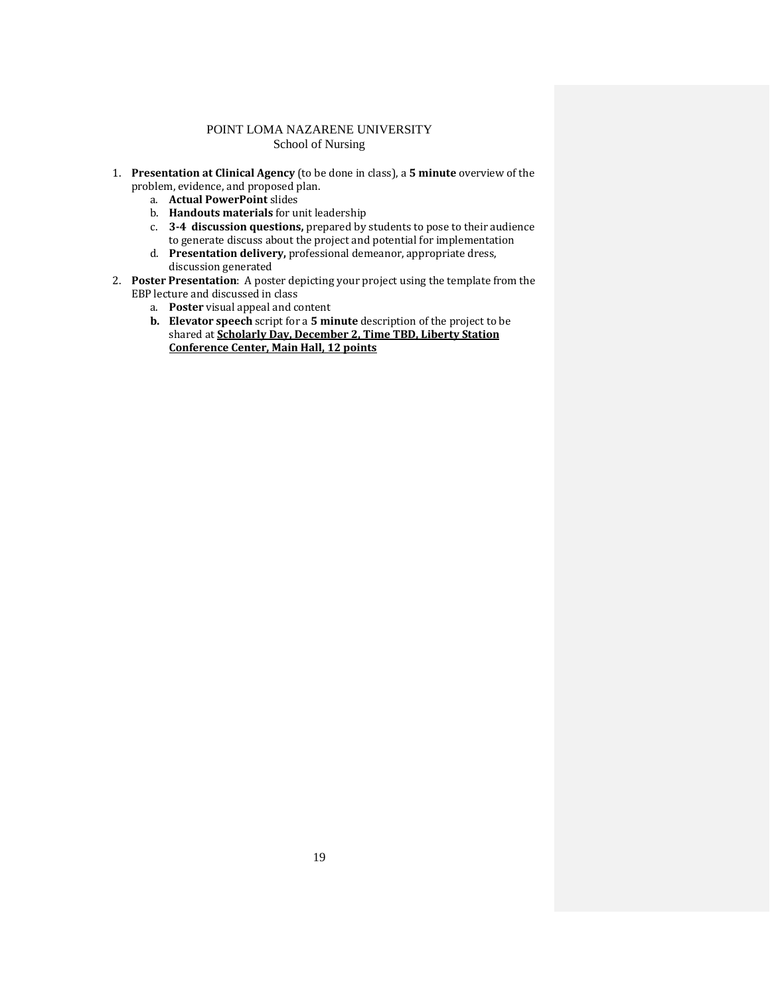- 1. **Presentation at Clinical Agency** (to be done in class), a **5 minute** overview of the problem, evidence, and proposed plan.
	- a. **Actual PowerPoint** slides
	- b. **Handouts materials** for unit leadership
	- c. **3-4 discussion questions,** prepared by students to pose to their audience to generate discuss about the project and potential for implementation
	- d. **Presentation delivery,** professional demeanor, appropriate dress, discussion generated
- 2. **Poster Presentation**: A poster depicting your project using the template from the EBP lecture and discussed in class
	- a. **Poster** visual appeal and content
	- **b. Elevator speech** script for a **5 minute** description of the project to be shared at **Scholarly Day, December 2, Time TBD, Liberty Station Conference Center, Main Hall, 12 points**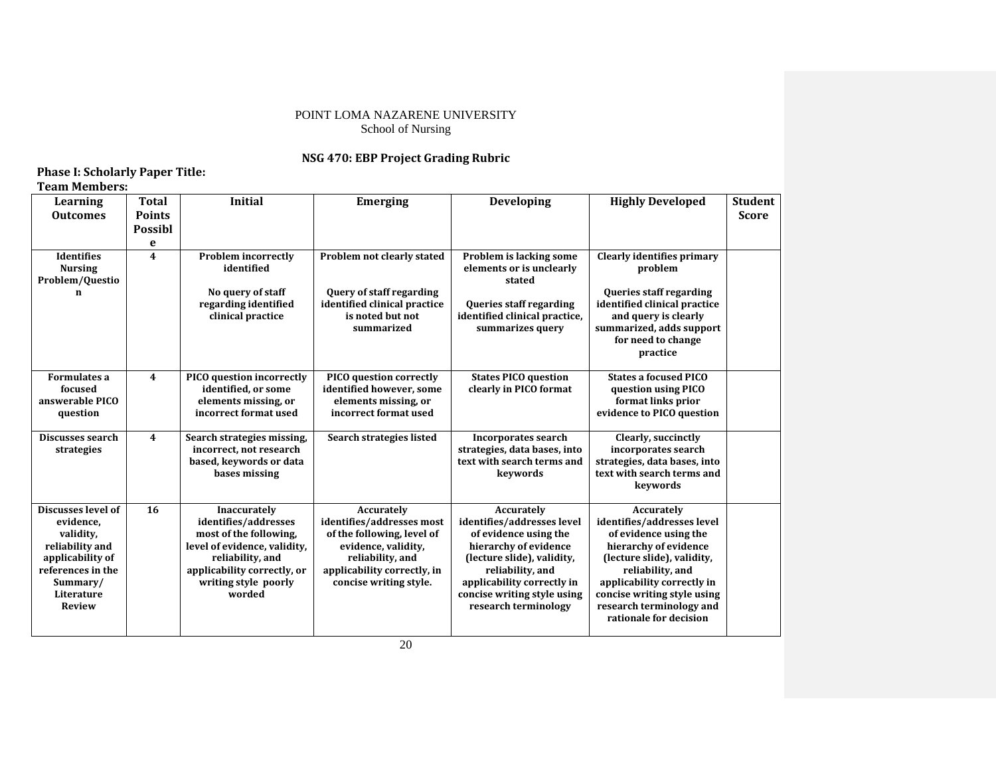## **NSG 470: EBP Project Grading Rubric**

# **Phase I: Scholarly Paper Title:**

| <b>Team Members:</b>                                                                                                                                |                                               |                                                                                                                                                                                     |                                                                                                                                                                           |                                                                                                                                                                                                                                   |                                                                                                                                                                                                                                                                 |                                |
|-----------------------------------------------------------------------------------------------------------------------------------------------------|-----------------------------------------------|-------------------------------------------------------------------------------------------------------------------------------------------------------------------------------------|---------------------------------------------------------------------------------------------------------------------------------------------------------------------------|-----------------------------------------------------------------------------------------------------------------------------------------------------------------------------------------------------------------------------------|-----------------------------------------------------------------------------------------------------------------------------------------------------------------------------------------------------------------------------------------------------------------|--------------------------------|
| Learning<br><b>Outcomes</b>                                                                                                                         | Total<br><b>Points</b><br><b>Possibl</b><br>e | <b>Initial</b>                                                                                                                                                                      | <b>Emerging</b>                                                                                                                                                           | <b>Developing</b>                                                                                                                                                                                                                 | <b>Highly Developed</b>                                                                                                                                                                                                                                         | <b>Student</b><br><b>Score</b> |
| <b>Identifies</b><br><b>Nursing</b><br>Problem/Questio<br>n                                                                                         | $\overline{\mathbf{4}}$                       | <b>Problem incorrectly</b><br>identified<br>No query of staff<br>regarding identified<br>clinical practice                                                                          | Problem not clearly stated<br><b>Query of staff regarding</b><br>identified clinical practice<br>is noted but not<br>summarized                                           | Problem is lacking some<br>elements or is unclearly<br>stated<br>Queries staff regarding<br>identified clinical practice,<br>summarizes query                                                                                     | <b>Clearly identifies primary</b><br>problem<br><b>Queries staff regarding</b><br>identified clinical practice<br>and query is clearly<br>summarized, adds support<br>for need to change<br>practice                                                            |                                |
| <b>Formulates a</b><br>focused<br>answerable PICO<br>question                                                                                       | 4                                             | PICO question incorrectly<br>identified, or some<br>elements missing, or<br>incorrect format used                                                                                   | PICO question correctly<br>identified however, some<br>elements missing, or<br>incorrect format used                                                                      | <b>States PICO question</b><br>clearly in PICO format                                                                                                                                                                             | <b>States a focused PICO</b><br>question using PICO<br>format links prior<br>evidence to PICO question                                                                                                                                                          |                                |
| Discusses search<br>strategies                                                                                                                      | $\overline{\mathbf{4}}$                       | Search strategies missing,<br>incorrect, not research<br>based, keywords or data<br>bases missing                                                                                   | Search strategies listed                                                                                                                                                  | <b>Incorporates search</b><br>strategies, data bases, into<br>text with search terms and<br>keywords                                                                                                                              | Clearly, succinctly<br>incorporates search<br>strategies, data bases, into<br>text with search terms and<br>keywords                                                                                                                                            |                                |
| Discusses level of<br>evidence,<br>validity.<br>reliability and<br>applicability of<br>references in the<br>Summary/<br>Literature<br><b>Review</b> | 16                                            | Inaccurately<br>identifies/addresses<br>most of the following.<br>level of evidence, validity,<br>reliability, and<br>applicability correctly, or<br>writing style poorly<br>worded | Accurately<br>identifies/addresses most<br>of the following, level of<br>evidence, validity,<br>reliability, and<br>applicability correctly, in<br>concise writing style. | Accurately<br>identifies/addresses level<br>of evidence using the<br>hierarchy of evidence<br>(lecture slide), validity,<br>reliability, and<br>applicability correctly in<br>concise writing style using<br>research terminology | Accurately<br>identifies/addresses level<br>of evidence using the<br>hierarchy of evidence<br>(lecture slide), validity,<br>reliability, and<br>applicability correctly in<br>concise writing style using<br>research terminology and<br>rationale for decision |                                |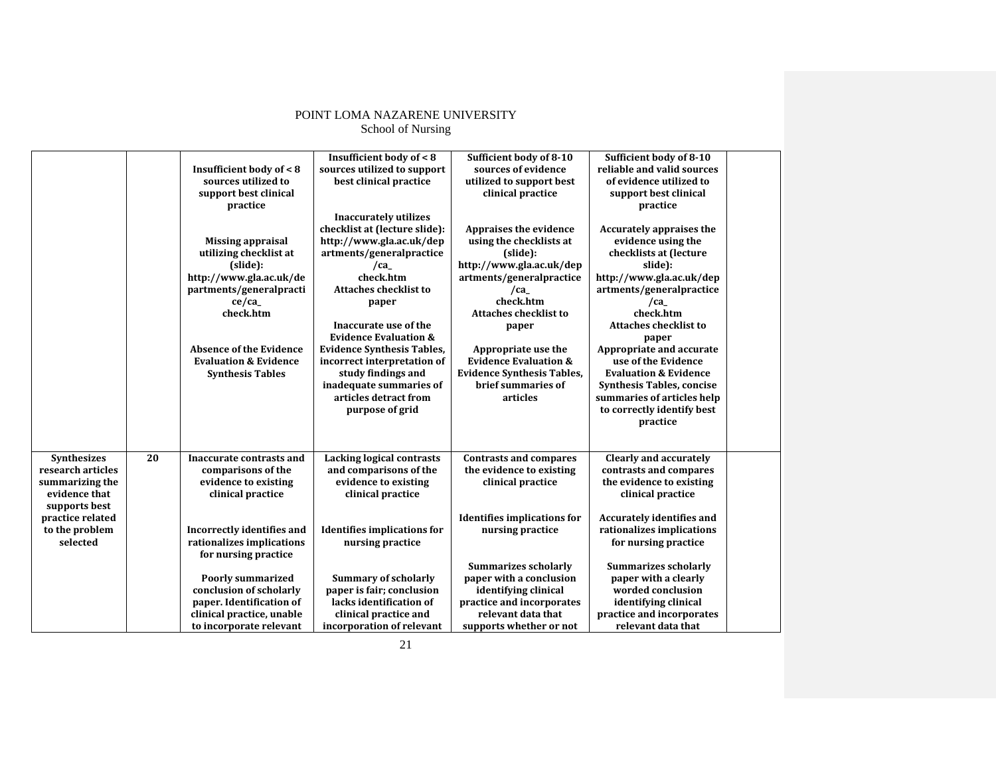|                                                                                                                                                |    | Insufficient body of < 8<br>sources utilized to<br>support best clinical<br>practice<br><b>Missing appraisal</b><br>utilizing checklist at<br>(slide):<br>http://www.gla.ac.uk/de<br>partments/generalpracti<br>ce/ca<br>check.htm<br><b>Absence of the Evidence</b><br><b>Evaluation &amp; Evidence</b><br><b>Synthesis Tables</b> | <b>Insufficient body of &lt;8</b><br>sources utilized to support<br>best clinical practice<br><b>Inaccurately utilizes</b><br>checklist at (lecture slide):<br>http://www.gla.ac.uk/dep<br>artments/generalpractice<br>/ca<br>check.htm<br><b>Attaches checklist to</b><br>paper<br>Inaccurate use of the<br><b>Evidence Evaluation &amp;</b><br><b>Evidence Synthesis Tables,</b><br>incorrect interpretation of<br>study findings and<br>inadequate summaries of<br>articles detract from<br>purpose of grid | Sufficient body of 8-10<br>sources of evidence<br>utilized to support best<br>clinical practice<br>Appraises the evidence<br>using the checklists at<br>(slide):<br>http://www.gla.ac.uk/dep<br>artments/generalpractice<br>/ca<br>check.htm<br><b>Attaches checklist to</b><br>paper<br>Appropriate use the<br><b>Evidence Evaluation &amp;</b><br><b>Evidence Synthesis Tables,</b><br>brief summaries of<br>articles | Sufficient body of 8-10<br>reliable and valid sources<br>of evidence utilized to<br>support best clinical<br>practice<br>Accurately appraises the<br>evidence using the<br>checklists at (lecture<br>slide):<br>http://www.gla.ac.uk/dep<br>artments/generalpractice<br>/ca<br>check.htm<br><b>Attaches checklist to</b><br>paper<br>Appropriate and accurate<br>use of the Evidence<br><b>Evaluation &amp; Evidence</b><br><b>Synthesis Tables, concise</b><br>summaries of articles help<br>to correctly identify best<br>practice |  |
|------------------------------------------------------------------------------------------------------------------------------------------------|----|-------------------------------------------------------------------------------------------------------------------------------------------------------------------------------------------------------------------------------------------------------------------------------------------------------------------------------------|----------------------------------------------------------------------------------------------------------------------------------------------------------------------------------------------------------------------------------------------------------------------------------------------------------------------------------------------------------------------------------------------------------------------------------------------------------------------------------------------------------------|-------------------------------------------------------------------------------------------------------------------------------------------------------------------------------------------------------------------------------------------------------------------------------------------------------------------------------------------------------------------------------------------------------------------------|--------------------------------------------------------------------------------------------------------------------------------------------------------------------------------------------------------------------------------------------------------------------------------------------------------------------------------------------------------------------------------------------------------------------------------------------------------------------------------------------------------------------------------------|--|
| <b>Synthesizes</b><br>research articles<br>summarizing the<br>evidence that<br>supports best<br>practice related<br>to the problem<br>selected | 20 | Inaccurate contrasts and<br>comparisons of the<br>evidence to existing<br>clinical practice<br>Incorrectly identifies and<br>rationalizes implications<br>for nursing practice<br><b>Poorly summarized</b><br>conclusion of scholarly<br>paper. Identification of<br>clinical practice, unable<br>to incorporate relevant           | <b>Lacking logical contrasts</b><br>and comparisons of the<br>evidence to existing<br>clinical practice<br><b>Identifies implications for</b><br>nursing practice<br><b>Summary of scholarly</b><br>paper is fair; conclusion<br>lacks identification of<br>clinical practice and<br>incorporation of relevant                                                                                                                                                                                                 | <b>Contrasts and compares</b><br>the evidence to existing<br>clinical practice<br><b>Identifies implications for</b><br>nursing practice<br><b>Summarizes scholarly</b><br>paper with a conclusion<br>identifying clinical<br>practice and incorporates<br>relevant data that<br>supports whether or not                                                                                                                | <b>Clearly and accurately</b><br>contrasts and compares<br>the evidence to existing<br>clinical practice<br><b>Accurately identifies and</b><br>rationalizes implications<br>for nursing practice<br><b>Summarizes scholarly</b><br>paper with a clearly<br>worded conclusion<br>identifying clinical<br>practice and incorporates<br>relevant data that                                                                                                                                                                             |  |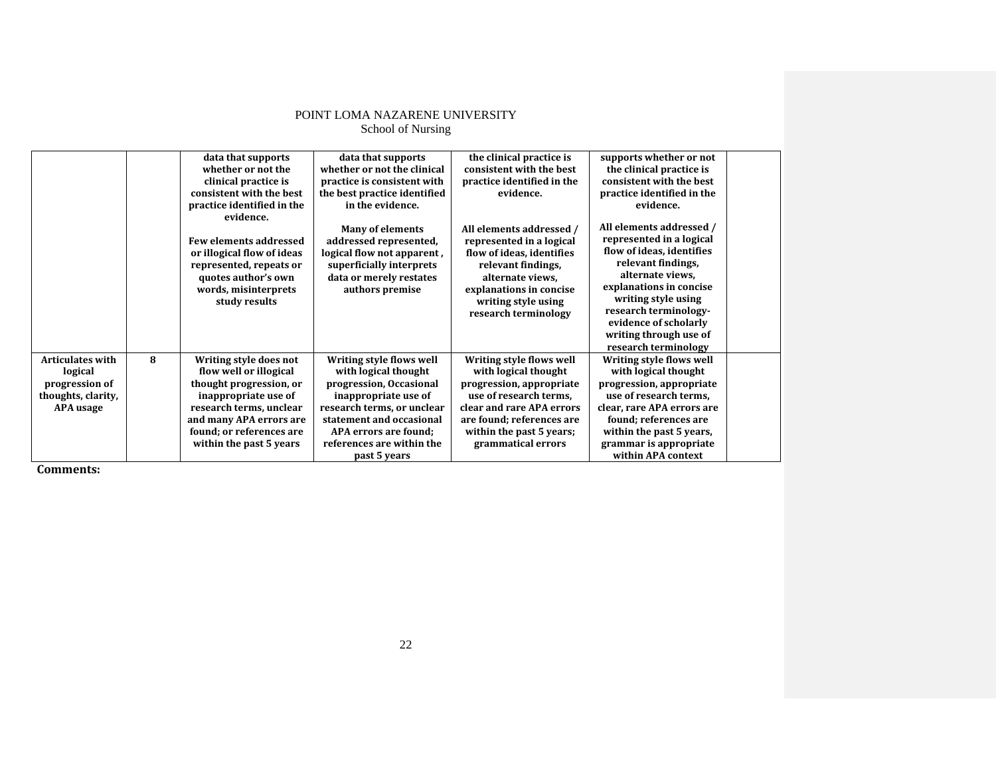| POINT LOMA NAZARENE UNIVERSITY |
|--------------------------------|
| School of Nursing              |

|                         |   | data that supports            | data that supports           | the clinical practice is   | supports whether or not    |  |
|-------------------------|---|-------------------------------|------------------------------|----------------------------|----------------------------|--|
|                         |   | whether or not the            | whether or not the clinical  | consistent with the best   | the clinical practice is   |  |
|                         |   | clinical practice is          | practice is consistent with  | practice identified in the | consistent with the best   |  |
|                         |   | consistent with the best      | the best practice identified | evidence.                  | practice identified in the |  |
|                         |   | practice identified in the    | in the evidence.             |                            | evidence.                  |  |
|                         |   | evidence.                     |                              |                            |                            |  |
|                         |   |                               | <b>Many of elements</b>      | All elements addressed /   | All elements addressed /   |  |
|                         |   | <b>Few elements addressed</b> | addressed represented,       | represented in a logical   | represented in a logical   |  |
|                         |   | or illogical flow of ideas    | logical flow not apparent,   | flow of ideas, identifies  | flow of ideas, identifies  |  |
|                         |   | represented, repeats or       | superficially interprets     | relevant findings,         | relevant findings,         |  |
|                         |   | quotes author's own           | data or merely restates      | alternate views,           | alternate views,           |  |
|                         |   | words, misinterprets          | authors premise              | explanations in concise    | explanations in concise    |  |
|                         |   | study results                 |                              | writing style using        | writing style using        |  |
|                         |   |                               |                              | research terminology       | research terminology-      |  |
|                         |   |                               |                              |                            | evidence of scholarly      |  |
|                         |   |                               |                              |                            | writing through use of     |  |
|                         |   |                               |                              |                            | research terminology       |  |
| <b>Articulates with</b> | 8 | Writing style does not        | Writing style flows well     | Writing style flows well   | Writing style flows well   |  |
| logical                 |   | flow well or illogical        | with logical thought         | with logical thought       | with logical thought       |  |
| progression of          |   | thought progression, or       | progression, Occasional      | progression, appropriate   | progression, appropriate   |  |
| thoughts, clarity,      |   | inappropriate use of          | inappropriate use of         | use of research terms,     | use of research terms,     |  |
| APA usage               |   | research terms, unclear       | research terms, or unclear   | clear and rare APA errors  | clear, rare APA errors are |  |
|                         |   | and many APA errors are       | statement and occasional     | are found; references are  | found; references are      |  |
|                         |   | found; or references are      | APA errors are found;        | within the past 5 years;   | within the past 5 years,   |  |
|                         |   | within the past 5 years       | references are within the    | grammatical errors         | grammar is appropriate     |  |
|                         |   |                               | past 5 years                 |                            | within APA context         |  |

**Comments:**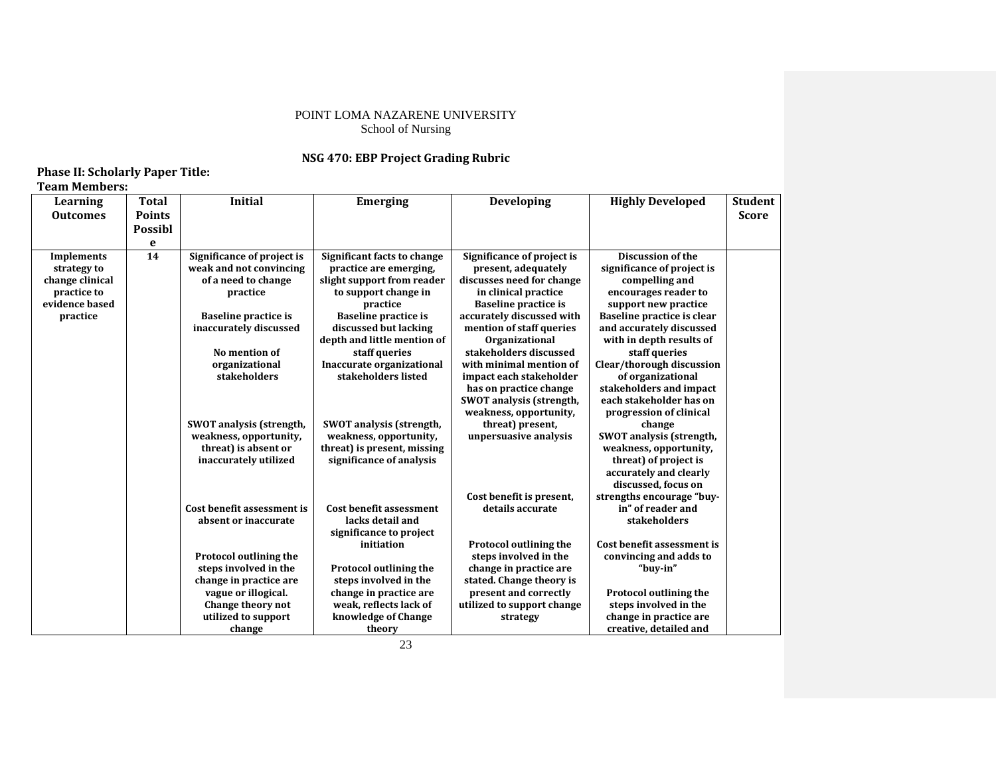## **NSG 470: EBP Project Grading Rubric**

## **Phase II: Scholarly Paper Title: Team Members:**

| Learning        | <b>Total</b>   | <b>Initial</b>                  | <b>Emerging</b>                 | Developing                      | <b>Highly Developed</b>         | <b>Student</b> |
|-----------------|----------------|---------------------------------|---------------------------------|---------------------------------|---------------------------------|----------------|
| <b>Outcomes</b> | <b>Points</b>  |                                 |                                 |                                 |                                 | <b>Score</b>   |
|                 | <b>Possibl</b> |                                 |                                 |                                 |                                 |                |
|                 | e              |                                 |                                 |                                 |                                 |                |
| Implements      | 14             | Significance of project is      | Significant facts to change     | Significance of project is      | <b>Discussion of the</b>        |                |
| strategy to     |                | weak and not convincing         | practice are emerging,          | present, adequately             | significance of project is      |                |
| change clinical |                | of a need to change             | slight support from reader      | discusses need for change       | compelling and                  |                |
| practice to     |                | practice                        | to support change in            | in clinical practice            | encourages reader to            |                |
| evidence based  |                |                                 | practice                        | <b>Baseline practice is</b>     | support new practice            |                |
| practice        |                | <b>Baseline practice is</b>     | <b>Baseline practice is</b>     | accurately discussed with       | Baseline practice is clear      |                |
|                 |                | inaccurately discussed          | discussed but lacking           | mention of staff queries        | and accurately discussed        |                |
|                 |                |                                 | depth and little mention of     | <b>Organizational</b>           | with in depth results of        |                |
|                 |                | No mention of                   | staff queries                   | stakeholders discussed          | staff queries                   |                |
|                 |                | organizational                  | Inaccurate organizational       | with minimal mention of         | Clear/thorough discussion       |                |
|                 |                | stakeholders                    | stakeholders listed             | impact each stakeholder         | of organizational               |                |
|                 |                |                                 |                                 | has on practice change          | stakeholders and impact         |                |
|                 |                |                                 |                                 | <b>SWOT</b> analysis (strength, | each stakeholder has on         |                |
|                 |                |                                 |                                 | weakness, opportunity,          | progression of clinical         |                |
|                 |                | <b>SWOT</b> analysis (strength, | <b>SWOT</b> analysis (strength, | threat) present,                | change                          |                |
|                 |                | weakness, opportunity,          | weakness, opportunity,          | unpersuasive analysis           | <b>SWOT</b> analysis (strength, |                |
|                 |                | threat) is absent or            | threat) is present, missing     |                                 | weakness, opportunity,          |                |
|                 |                | inaccurately utilized           | significance of analysis        |                                 | threat) of project is           |                |
|                 |                |                                 |                                 |                                 | accurately and clearly          |                |
|                 |                |                                 |                                 |                                 | discussed, focus on             |                |
|                 |                |                                 |                                 | Cost benefit is present,        | strengths encourage "buy-       |                |
|                 |                | Cost benefit assessment is      | <b>Cost benefit assessment</b>  | details accurate                | in" of reader and               |                |
|                 |                | absent or inaccurate            | lacks detail and                |                                 | stakeholders                    |                |
|                 |                |                                 | significance to project         |                                 |                                 |                |
|                 |                |                                 | initiation                      | <b>Protocol outlining the</b>   | Cost benefit assessment is      |                |
|                 |                | <b>Protocol outlining the</b>   |                                 | steps involved in the           | convincing and adds to          |                |
|                 |                | steps involved in the           | <b>Protocol outlining the</b>   | change in practice are          | "buy-in"                        |                |
|                 |                | change in practice are          | steps involved in the           | stated. Change theory is        |                                 |                |
|                 |                | vague or illogical.             | change in practice are          | present and correctly           | <b>Protocol outlining the</b>   |                |
|                 |                | Change theory not               | weak, reflects lack of          | utilized to support change      | steps involved in the           |                |
|                 |                | utilized to support             | knowledge of Change             | strategy                        | change in practice are          |                |
|                 |                | change                          | theory                          |                                 | creative, detailed and          |                |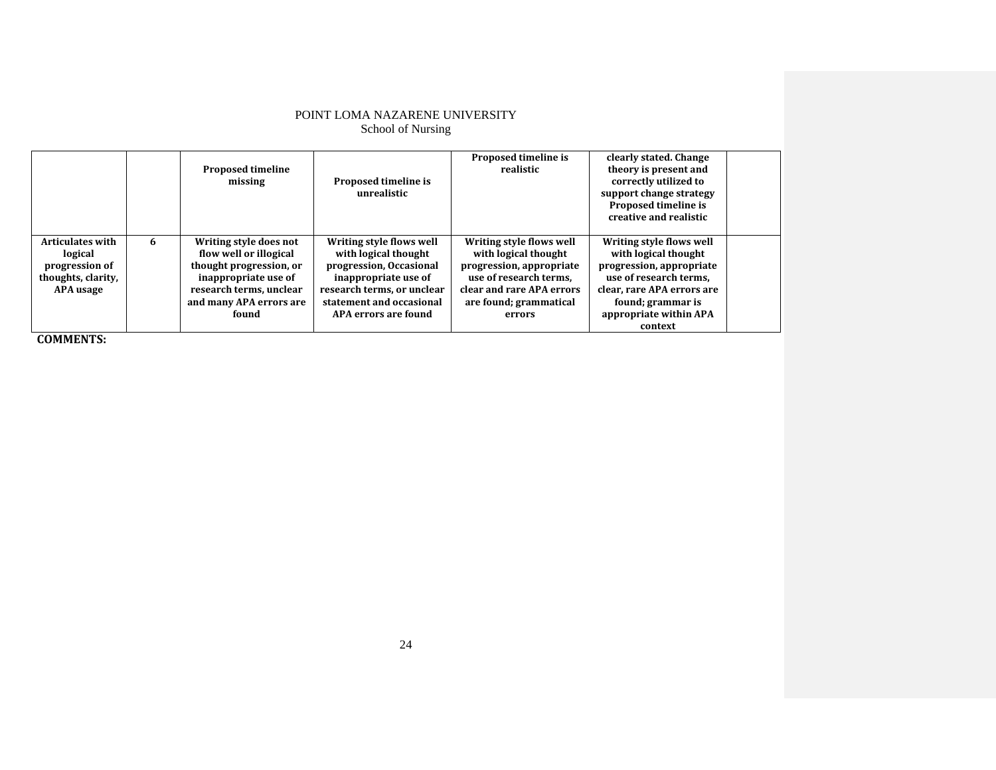|                                                                                         |   | <b>Proposed timeline</b><br>missing                                                                                                                                | Proposed timeline is<br>unrealistic                                                                                                                                                   | Proposed timeline is<br>realistic                                                                                                                                       | clearly stated. Change<br>theory is present and<br>correctly utilized to<br>support change strategy<br>Proposed timeline is<br>creative and realistic                                          |  |
|-----------------------------------------------------------------------------------------|---|--------------------------------------------------------------------------------------------------------------------------------------------------------------------|---------------------------------------------------------------------------------------------------------------------------------------------------------------------------------------|-------------------------------------------------------------------------------------------------------------------------------------------------------------------------|------------------------------------------------------------------------------------------------------------------------------------------------------------------------------------------------|--|
| <b>Articulates with</b><br>logical<br>progression of<br>thoughts, clarity,<br>APA usage | 6 | Writing style does not<br>flow well or illogical<br>thought progression, or<br>inappropriate use of<br>research terms, unclear<br>and many APA errors are<br>found | Writing style flows well<br>with logical thought<br>progression, Occasional<br>inappropriate use of<br>research terms, or unclear<br>statement and occasional<br>APA errors are found | Writing style flows well<br>with logical thought<br>progression, appropriate<br>use of research terms.<br>clear and rare APA errors<br>are found; grammatical<br>errors | Writing style flows well<br>with logical thought<br>progression, appropriate<br>use of research terms.<br>clear, rare APA errors are<br>found; grammar is<br>appropriate within APA<br>context |  |

**COMMENTS:**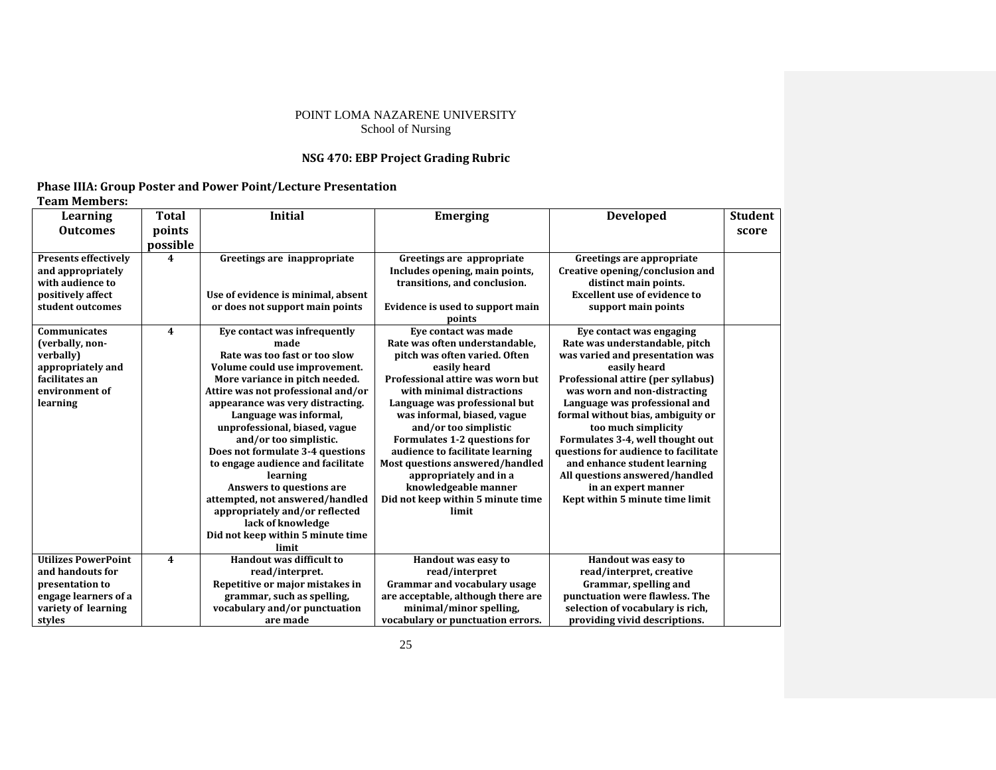## **NSG 470: EBP Project Grading Rubric**

## **Phase IIIA: Group Poster and Power Point/Lecture Presentation Team Members:**

| Learning                    | <b>Total</b>            | <b>Initial</b>                     | <b>Emerging</b>                     | <b>Developed</b>                     | <b>Student</b> |
|-----------------------------|-------------------------|------------------------------------|-------------------------------------|--------------------------------------|----------------|
| <b>Outcomes</b>             | points                  |                                    |                                     |                                      | score          |
|                             | possible                |                                    |                                     |                                      |                |
| <b>Presents effectively</b> | 4                       | Greetings are inappropriate        | Greetings are appropriate           | Greetings are appropriate            |                |
| and appropriately           |                         |                                    | Includes opening, main points,      | Creative opening/conclusion and      |                |
| with audience to            |                         |                                    | transitions, and conclusion.        | distinct main points.                |                |
| positively affect           |                         | Use of evidence is minimal, absent |                                     | <b>Excellent use of evidence to</b>  |                |
| student outcomes            |                         | or does not support main points    | Evidence is used to support main    | support main points                  |                |
|                             |                         |                                    | points                              |                                      |                |
| <b>Communicates</b>         | 4                       | Eye contact was infrequently       | Eve contact was made                | Eye contact was engaging             |                |
| (verbally, non-             |                         | made                               | Rate was often understandable,      | Rate was understandable, pitch       |                |
| verbally)                   |                         | Rate was too fast or too slow      | pitch was often varied. Often       | was varied and presentation was      |                |
| appropriately and           |                         | Volume could use improvement.      | easily heard                        | easily heard                         |                |
| facilitates an              |                         | More variance in pitch needed.     | Professional attire was worn but    | Professional attire (per syllabus)   |                |
| environment of              |                         | Attire was not professional and/or | with minimal distractions           | was worn and non-distracting         |                |
| learning                    |                         | appearance was very distracting.   | Language was professional but       | Language was professional and        |                |
|                             |                         | Language was informal,             | was informal, biased, vague         | formal without bias, ambiguity or    |                |
|                             |                         | unprofessional, biased, vague      | and/or too simplistic               | too much simplicity                  |                |
|                             |                         | and/or too simplistic.             | Formulates 1-2 questions for        | Formulates 3-4, well thought out     |                |
|                             |                         | Does not formulate 3-4 questions   | audience to facilitate learning     | questions for audience to facilitate |                |
|                             |                         | to engage audience and facilitate  | Most questions answered/handled     | and enhance student learning         |                |
|                             |                         | learning                           | appropriately and in a              | All questions answered/handled       |                |
|                             |                         | Answers to questions are           | knowledgeable manner                | in an expert manner                  |                |
|                             |                         | attempted, not answered/handled    | Did not keep within 5 minute time   | Kept within 5 minute time limit      |                |
|                             |                         | appropriately and/or reflected     | limit                               |                                      |                |
|                             |                         | lack of knowledge                  |                                     |                                      |                |
|                             |                         | Did not keep within 5 minute time  |                                     |                                      |                |
|                             |                         | limit                              |                                     |                                      |                |
| <b>Utilizes PowerPoint</b>  | $\overline{\mathbf{4}}$ | <b>Handout was difficult to</b>    | Handout was easy to                 | Handout was easy to                  |                |
| and handouts for            |                         | read/interpret.                    | read/interpret                      | read/interpret, creative             |                |
| presentation to             |                         | Repetitive or major mistakes in    | <b>Grammar and vocabulary usage</b> | Grammar, spelling and                |                |
| engage learners of a        |                         | grammar, such as spelling,         | are acceptable, although there are  | punctuation were flawless. The       |                |
| variety of learning         |                         | vocabulary and/or punctuation      | minimal/minor spelling,             | selection of vocabulary is rich,     |                |
| styles                      |                         | are made                           | vocabulary or punctuation errors.   | providing vivid descriptions.        |                |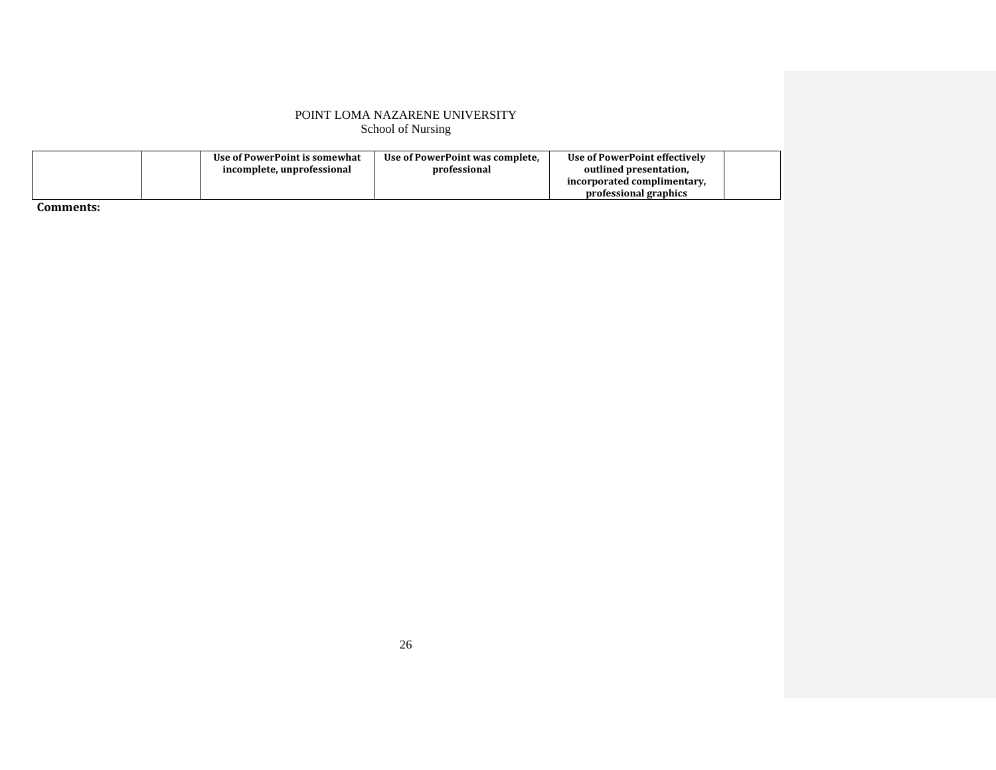|  | Use of PowerPoint is somewhat | Use of PowerPoint was complete. | Use of PowerPoint effectively |  |
|--|-------------------------------|---------------------------------|-------------------------------|--|
|  | incomplete, unprofessional    | professional                    | outlined presentation.        |  |
|  |                               |                                 | incorporated complimentary.   |  |
|  |                               |                                 | professional graphics         |  |

**Comments:**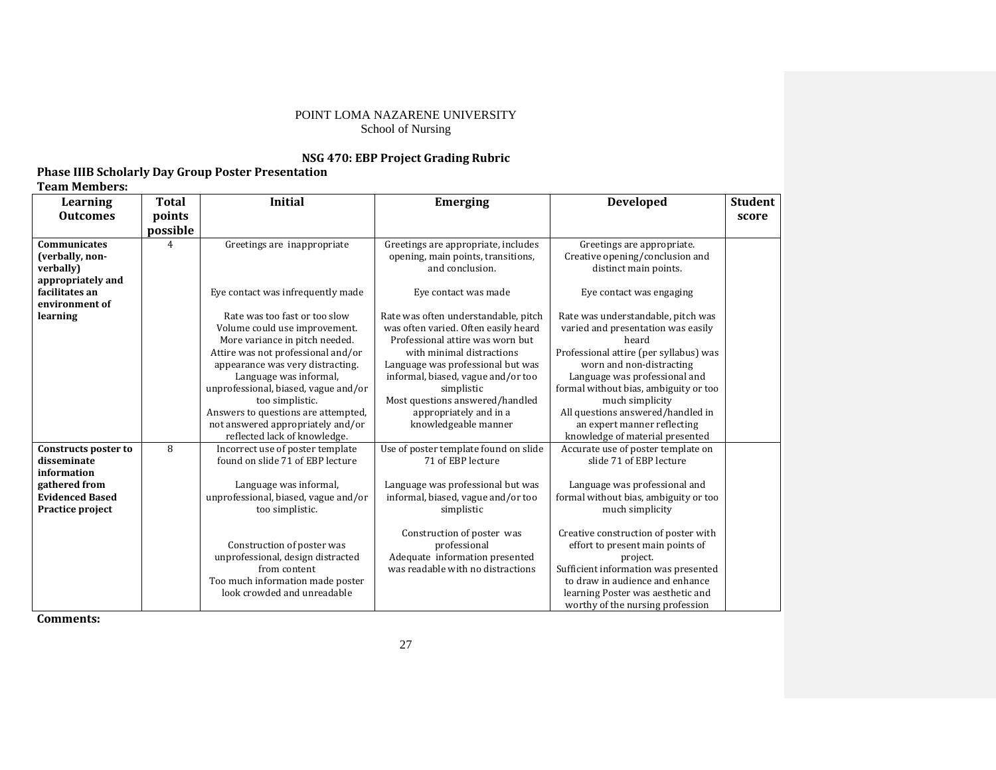## **NSG 470: EBP Project Grading Rubric**

## **Phase IIIB Scholarly Day Group Poster Presentation Team Members:**

| Learning                                                                                                          | <b>Total</b> | <b>Initial</b>                                                                                                                                                                                                                                                                                                                                                              | <b>Emerging</b>                                                                                                                                                                                                                                                                                                             | <b>Developed</b>                                                                                                                                                                                                                                                                                                                                                                                       | <b>Student</b> |
|-------------------------------------------------------------------------------------------------------------------|--------------|-----------------------------------------------------------------------------------------------------------------------------------------------------------------------------------------------------------------------------------------------------------------------------------------------------------------------------------------------------------------------------|-----------------------------------------------------------------------------------------------------------------------------------------------------------------------------------------------------------------------------------------------------------------------------------------------------------------------------|--------------------------------------------------------------------------------------------------------------------------------------------------------------------------------------------------------------------------------------------------------------------------------------------------------------------------------------------------------------------------------------------------------|----------------|
| <b>Outcomes</b>                                                                                                   | points       |                                                                                                                                                                                                                                                                                                                                                                             |                                                                                                                                                                                                                                                                                                                             |                                                                                                                                                                                                                                                                                                                                                                                                        | score          |
|                                                                                                                   | possible     |                                                                                                                                                                                                                                                                                                                                                                             |                                                                                                                                                                                                                                                                                                                             |                                                                                                                                                                                                                                                                                                                                                                                                        |                |
| <b>Communicates</b><br>(verbally, non-<br>verbally)<br>appropriately and                                          | 4            | Greetings are inappropriate                                                                                                                                                                                                                                                                                                                                                 | Greetings are appropriate, includes<br>opening, main points, transitions,<br>and conclusion.                                                                                                                                                                                                                                | Greetings are appropriate.<br>Creative opening/conclusion and<br>distinct main points.                                                                                                                                                                                                                                                                                                                 |                |
| facilitates an<br>environment of                                                                                  |              | Eye contact was infrequently made                                                                                                                                                                                                                                                                                                                                           | Eye contact was made                                                                                                                                                                                                                                                                                                        | Eye contact was engaging                                                                                                                                                                                                                                                                                                                                                                               |                |
| learning                                                                                                          |              | Rate was too fast or too slow<br>Volume could use improvement.<br>More variance in pitch needed.<br>Attire was not professional and/or<br>appearance was very distracting.<br>Language was informal,<br>unprofessional, biased, vague and/or<br>too simplistic.<br>Answers to questions are attempted,<br>not answered appropriately and/or<br>reflected lack of knowledge. | Rate was often understandable, pitch<br>was often varied. Often easily heard<br>Professional attire was worn but<br>with minimal distractions<br>Language was professional but was<br>informal, biased, vague and/or too<br>simplistic<br>Most questions answered/handled<br>appropriately and in a<br>knowledgeable manner | Rate was understandable, pitch was<br>varied and presentation was easily<br>heard<br>Professional attire (per syllabus) was<br>worn and non-distracting<br>Language was professional and<br>formal without bias, ambiguity or too<br>much simplicity<br>All questions answered/handled in<br>an expert manner reflecting<br>knowledge of material presented                                            |                |
| Constructs poster to<br>disseminate<br>information<br>gathered from<br><b>Evidenced Based</b><br>Practice project | 8            | Incorrect use of poster template<br>found on slide 71 of EBP lecture<br>Language was informal,<br>unprofessional, biased, vague and/or<br>too simplistic.<br>Construction of poster was<br>unprofessional, design distracted<br>from content<br>Too much information made poster<br>look crowded and unreadable                                                             | Use of poster template found on slide<br>71 of EBP lecture<br>Language was professional but was<br>informal, biased, vague and/or too<br>simplistic<br>Construction of poster was<br>professional<br>Adequate information presented<br>was readable with no distractions                                                    | Accurate use of poster template on<br>slide 71 of EBP lecture<br>Language was professional and<br>formal without bias, ambiguity or too<br>much simplicity<br>Creative construction of poster with<br>effort to present main points of<br>project.<br>Sufficient information was presented<br>to draw in audience and enhance<br>learning Poster was aesthetic and<br>worthy of the nursing profession |                |

**Comments:**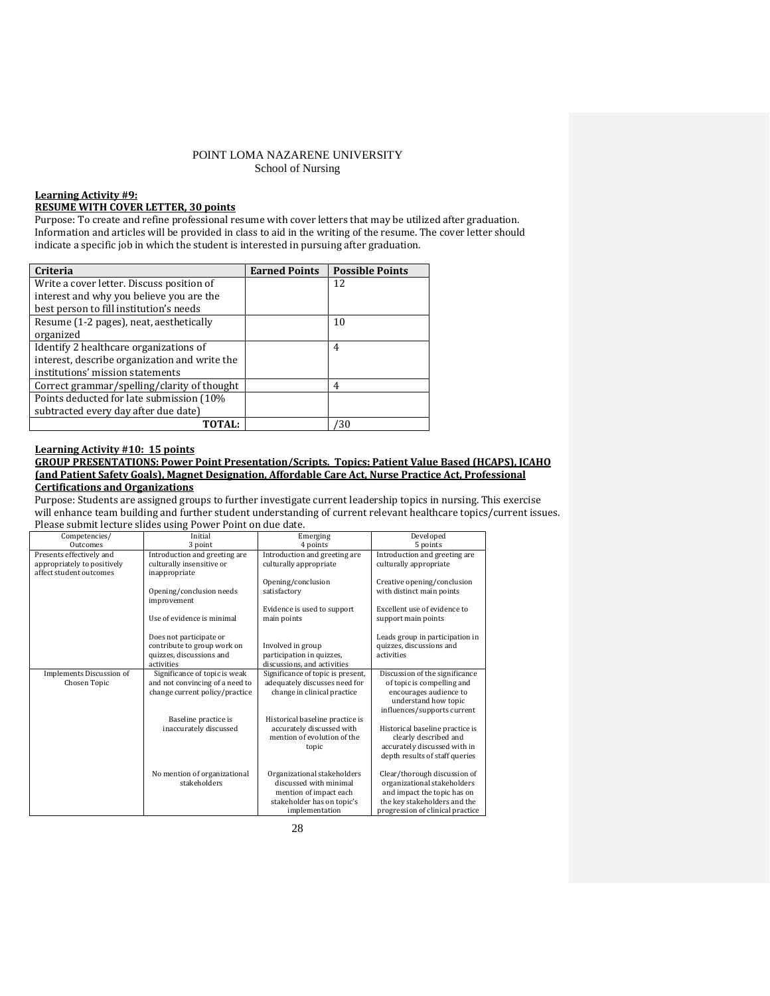#### **Learning Activity #9:**

### **RESUME WITH COVER LETTER, 30 points**

Purpose: To create and refine professional resume with cover letters that may be utilized after graduation. Information and articles will be provided in class to aid in the writing of the resume. The cover letter should indicate a specific job in which the student is interested in pursuing after graduation.

| Criteria                                      | <b>Earned Points</b> | <b>Possible Points</b> |
|-----------------------------------------------|----------------------|------------------------|
| Write a cover letter. Discuss position of     |                      | 12                     |
| interest and why you believe you are the      |                      |                        |
| best person to fill institution's needs       |                      |                        |
| Resume (1-2 pages), neat, aesthetically       |                      | 10                     |
| organized                                     |                      |                        |
| Identify 2 healthcare organizations of        |                      | $\overline{4}$         |
| interest, describe organization and write the |                      |                        |
| institutions' mission statements              |                      |                        |
| Correct grammar/spelling/clarity of thought   |                      | 4                      |
| Points deducted for late submission (10%)     |                      |                        |
| subtracted every day after due date)          |                      |                        |
| TOTAL:                                        |                      | /30                    |

### **Learning Activity #10: 15 points**

#### **GROUP PRESENTATIONS: Power Point Presentation/Scripts. Topics: Patient Value Based (HCAPS), JCAHO (and Patient Safety Goals), Magnet Designation, Affordable Care Act, Nurse Practice Act, Professional Certifications and Organizations**

Purpose: Students are assigned groups to further investigate current leadership topics in nursing. This exercise will enhance team building and further student understanding of current relevant healthcare topics/current issues. Please submit lecture slides using Power Point on due date.

| Competencies/                                                                      | Initial                                                                                            | Emerging                                                                                                                        | Developed                                                                                                                                                      |
|------------------------------------------------------------------------------------|----------------------------------------------------------------------------------------------------|---------------------------------------------------------------------------------------------------------------------------------|----------------------------------------------------------------------------------------------------------------------------------------------------------------|
| Outcomes                                                                           | 3 point                                                                                            | 4 points                                                                                                                        | 5 points                                                                                                                                                       |
| Presents effectively and<br>appropriately to positively<br>affect student outcomes | Introduction and greeting are<br>culturally insensitive or<br>inappropriate                        | Introduction and greeting are<br>culturally appropriate                                                                         | Introduction and greeting are<br>culturally appropriate                                                                                                        |
|                                                                                    | Opening/conclusion needs<br>improvement                                                            | Opening/conclusion<br>satisfactory                                                                                              | Creative opening/conclusion<br>with distinct main points                                                                                                       |
|                                                                                    | Use of evidence is minimal                                                                         | Evidence is used to support<br>main points                                                                                      | Excellent use of evidence to<br>support main points                                                                                                            |
|                                                                                    | Does not participate or<br>contribute to group work on<br>quizzes, discussions and<br>activities   | Involved in group<br>participation in quizzes,<br>discussions, and activities                                                   | Leads group in participation in<br>quizzes, discussions and<br>activities                                                                                      |
| Implements Discussion of<br>Chosen Topic                                           | Significance of topic is weak<br>and not convincing of a need to<br>change current policy/practice | Significance of topic is present,<br>adequately discusses need for<br>change in clinical practice                               | Discussion of the significance<br>of topic is compelling and<br>encourages audience to<br>understand how topic<br>influences/supports current                  |
|                                                                                    | Baseline practice is<br>inaccurately discussed                                                     | Historical baseline practice is<br>accurately discussed with<br>mention of evolution of the<br>topic                            | Historical baseline practice is<br>clearly described and<br>accurately discussed with in<br>depth results of staff queries                                     |
|                                                                                    | No mention of organizational<br>stakeholders                                                       | Organizational stakeholders<br>discussed with minimal<br>mention of impact each<br>stakeholder has on topic's<br>implementation | Clear/thorough discussion of<br>organizational stakeholders<br>and impact the topic has on<br>the key stakeholders and the<br>progression of clinical practice |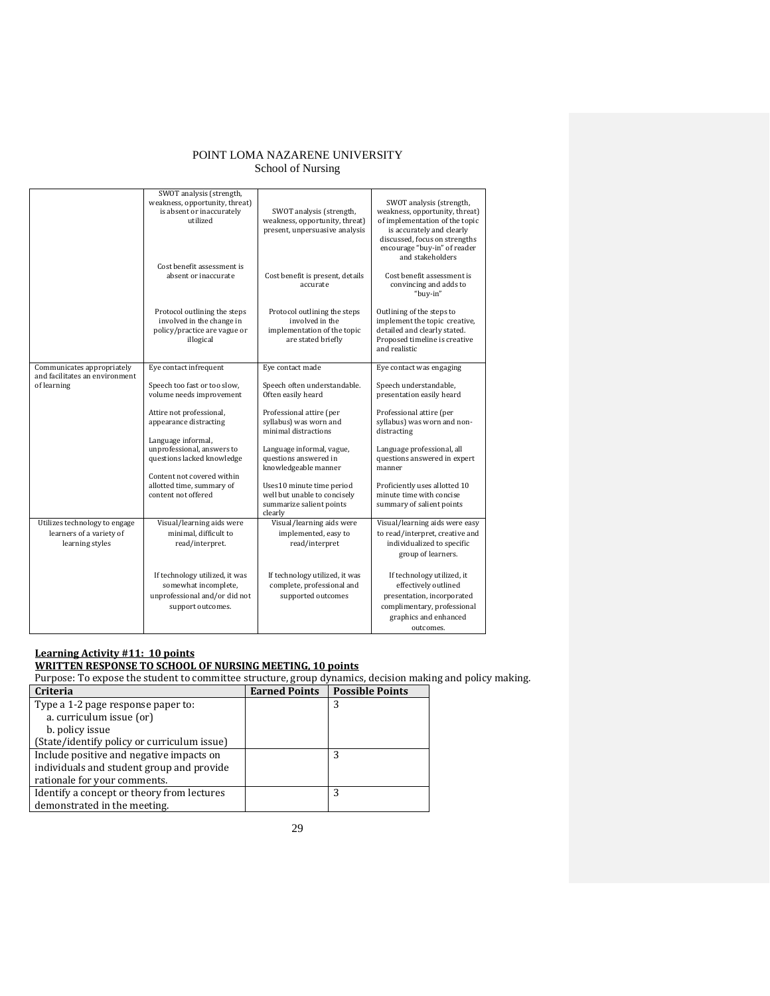|                                               | SWOT analysis (strength,<br>weakness, opportunity, threat)<br>is absent or inaccurately<br>utilized          | SWOT analysis (strength,<br>weakness, opportunity, threat)<br>present, unpersuasive analysis         | SWOT analysis (strength,<br>weakness, opportunity, threat)<br>of implementation of the topic<br>is accurately and clearly<br>discussed, focus on strengths<br>encourage "buy-in" of reader<br>and stakeholders |
|-----------------------------------------------|--------------------------------------------------------------------------------------------------------------|------------------------------------------------------------------------------------------------------|----------------------------------------------------------------------------------------------------------------------------------------------------------------------------------------------------------------|
|                                               | Cost benefit assessment is<br>absent or inaccurate                                                           | Cost benefit is present, details<br>accurate                                                         | Cost benefit assessment is<br>convincing and adds to<br>"buy-in"                                                                                                                                               |
|                                               | Protocol outlining the steps<br>involved in the change in<br>policy/practice are vague or<br>illogical       | Protocol outlining the steps<br>involved in the<br>implementation of the topic<br>are stated briefly | Outlining of the steps to<br>implement the topic creative,<br>detailed and clearly stated.<br>Proposed timeline is creative<br>and realistic                                                                   |
| Communicates appropriately                    | Eye contact infrequent                                                                                       | Eye contact made                                                                                     | Eye contact was engaging                                                                                                                                                                                       |
| and facilitates an environment<br>of learning | Speech too fast or too slow,                                                                                 | Speech often understandable.                                                                         | Speech understandable,                                                                                                                                                                                         |
|                                               | volume needs improvement                                                                                     | Often easily heard                                                                                   | presentation easily heard                                                                                                                                                                                      |
|                                               |                                                                                                              |                                                                                                      |                                                                                                                                                                                                                |
|                                               | Attire not professional,<br>appearance distracting                                                           | Professional attire (per<br>syllabus) was worn and                                                   | Professional attire (per<br>syllabus) was worn and non-                                                                                                                                                        |
|                                               |                                                                                                              | minimal distractions                                                                                 | distracting                                                                                                                                                                                                    |
|                                               | Language informal,                                                                                           |                                                                                                      |                                                                                                                                                                                                                |
|                                               | unprofessional, answers to<br>questions lacked knowledge                                                     | Language informal, vague,<br>questions answered in<br>knowledgeable manner                           | Language professional, all<br>questions answered in expert<br>manner                                                                                                                                           |
|                                               | Content not covered within<br>allotted time, summary of<br>content not offered                               | Uses10 minute time period<br>well but unable to concisely<br>summarize salient points<br>clearly     | Proficiently uses allotted 10<br>minute time with concise<br>summary of salient points                                                                                                                         |
| Utilizes technology to engage                 | Visual/learning aids were                                                                                    | Visual/learning aids were                                                                            | Visual/learning aids were easy                                                                                                                                                                                 |
| learners of a variety of<br>learning styles   | minimal, difficult to<br>read/interpret.                                                                     | implemented, easy to<br>read/interpret                                                               | to read/interpret, creative and<br>individualized to specific<br>group of learners.                                                                                                                            |
|                                               | If technology utilized, it was<br>somewhat incomplete,<br>unprofessional and/or did not<br>support outcomes. | If technology utilized, it was<br>complete, professional and<br>supported outcomes                   | If technology utilized, it<br>effectively outlined<br>presentation, incorporated<br>complimentary, professional<br>graphics and enhanced<br>outcomes.                                                          |

## **Learning Activity #11: 10 points**

## **WRITTEN RESPONSE TO SCHOOL OF NURSING MEETING, 10 points**

Purpose: To expose the student to committee structure, group dynamics, decision making and policy making.

| Criteria                                    | <b>Earned Points</b> | <b>Possible Points</b> |
|---------------------------------------------|----------------------|------------------------|
| Type a 1-2 page response paper to:          |                      | 3                      |
| a. curriculum issue (or)                    |                      |                        |
| b. policy issue                             |                      |                        |
| (State/identify policy or curriculum issue) |                      |                        |
| Include positive and negative impacts on    |                      | 3                      |
| individuals and student group and provide   |                      |                        |
| rationale for your comments.                |                      |                        |
| Identify a concept or theory from lectures  |                      | 3                      |
| demonstrated in the meeting.                |                      |                        |
|                                             |                      |                        |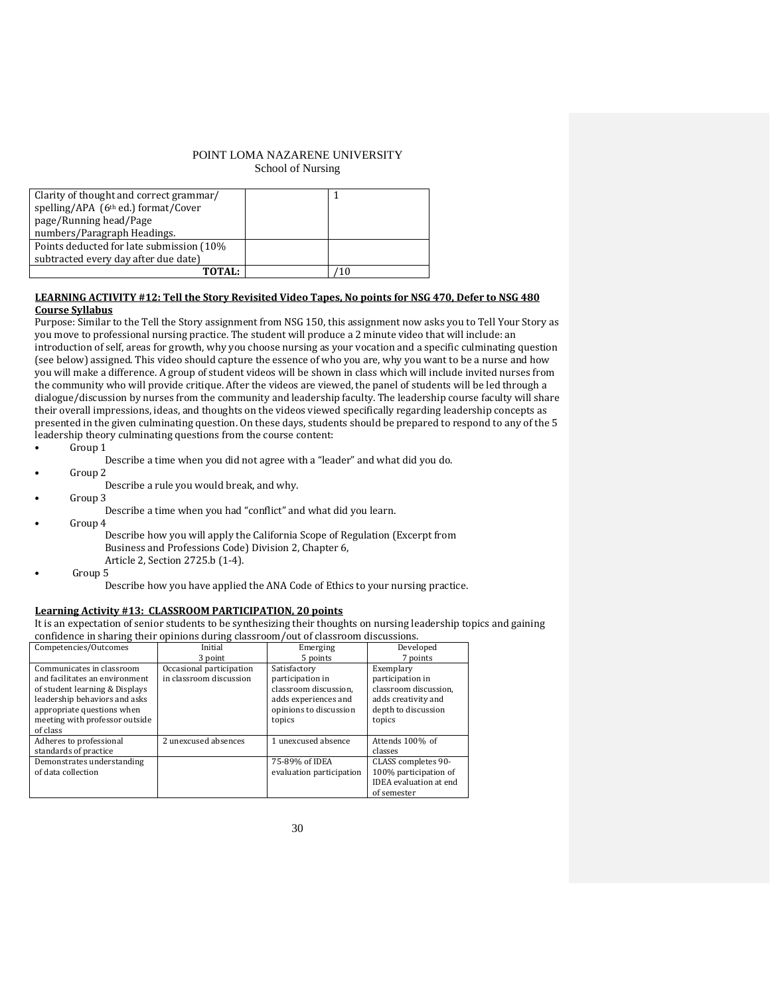| Clarity of thought and correct grammar/         |    |
|-------------------------------------------------|----|
| spelling/APA (6 <sup>th</sup> ed.) format/Cover |    |
| page/Running head/Page                          |    |
| numbers/Paragraph Headings.                     |    |
| Points deducted for late submission (10%)       |    |
| subtracted every day after due date)            |    |
| <b>TOTAL:</b>                                   | 10 |
|                                                 |    |

### **LEARNING ACTIVITY #12: Tell the Story Revisited Video Tapes, No points for NSG 470, Defer to NSG 480 Course Syllabus**

Purpose: Similar to the Tell the Story assignment from NSG 150, this assignment now asks you to Tell Your Story as you move to professional nursing practice. The student will produce a 2 minute video that will include: an introduction of self, areas for growth, why you choose nursing as your vocation and a specific culminating question (see below) assigned. This video should capture the essence of who you are, why you want to be a nurse and how you will make a difference. A group of student videos will be shown in class which will include invited nurses from the community who will provide critique. After the videos are viewed, the panel of students will be led through a dialogue/discussion by nurses from the community and leadership faculty. The leadership course faculty will share their overall impressions, ideas, and thoughts on the videos viewed specifically regarding leadership concepts as presented in the given culminating question. On these days, students should be prepared to respond to any of the 5 leadership theory culminating questions from the course content:

- Group 1
	- Describe a time when you did not agree with a "leader" and what did you do.
- Group 2
	- Describe a rule you would break, and why.
- Group 3
	- Describe a time when you had "conflict" and what did you learn.
- Group 4
	- Describe how you will apply the California Scope of Regulation (Excerpt from Business and Professions Code) Division 2, Chapter 6, Article 2, Section 2725.b (1-4).
- Group 5

Describe how you have applied the ANA Code of Ethics to your nursing practice.

### **Learning Activity #13: CLASSROOM PARTICIPATION, 20 points**

It is an expectation of senior students to be synthesizing their thoughts on nursing leadership topics and gaining confidence in sharing their opinions during classroom/out of classroom discussions.

| Competencies/Outcomes          | Initial                  | Emerging                 | Developed                     |
|--------------------------------|--------------------------|--------------------------|-------------------------------|
|                                | 3 point                  | 5 points                 | 7 points                      |
| Communicates in classroom      | Occasional participation | Satisfactory             | Exemplary                     |
| and facilitates an environment | in classroom discussion  | participation in         | participation in              |
| of student learning & Displays |                          | classroom discussion,    | classroom discussion,         |
| leadership behaviors and asks  |                          | adds experiences and     | adds creativity and           |
| appropriate questions when     |                          | opinions to discussion   | depth to discussion           |
| meeting with professor outside |                          | topics                   | topics                        |
| of class                       |                          |                          |                               |
| Adheres to professional        | 2 unexcused absences     | 1 unexcused absence      | Attends 100% of               |
| standards of practice          |                          |                          | classes                       |
| Demonstrates understanding     |                          | 75-89% of IDEA           | CLASS completes 90-           |
| of data collection             |                          | evaluation participation | 100% participation of         |
|                                |                          |                          | <b>IDEA</b> evaluation at end |
|                                |                          |                          | of semester                   |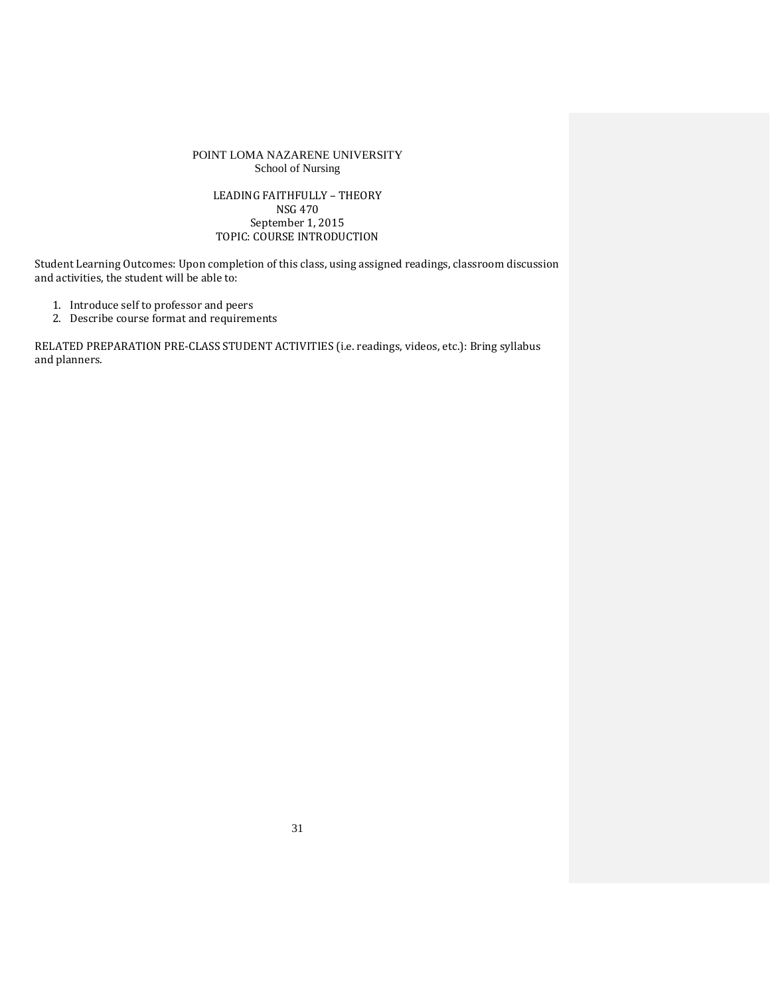## LEADING FAITHFULLY – THEORY NSG 470 September 1, 2015 TOPIC: COURSE INTRODUCTION

Student Learning Outcomes: Upon completion of this class, using assigned readings, classroom discussion and activities, the student will be able to:

- 1. Introduce self to professor and peers
- 2. Describe course format and requirements

RELATED PREPARATION PRE-CLASS STUDENT ACTIVITIES (i.e. readings, videos, etc.): Bring syllabus and planners.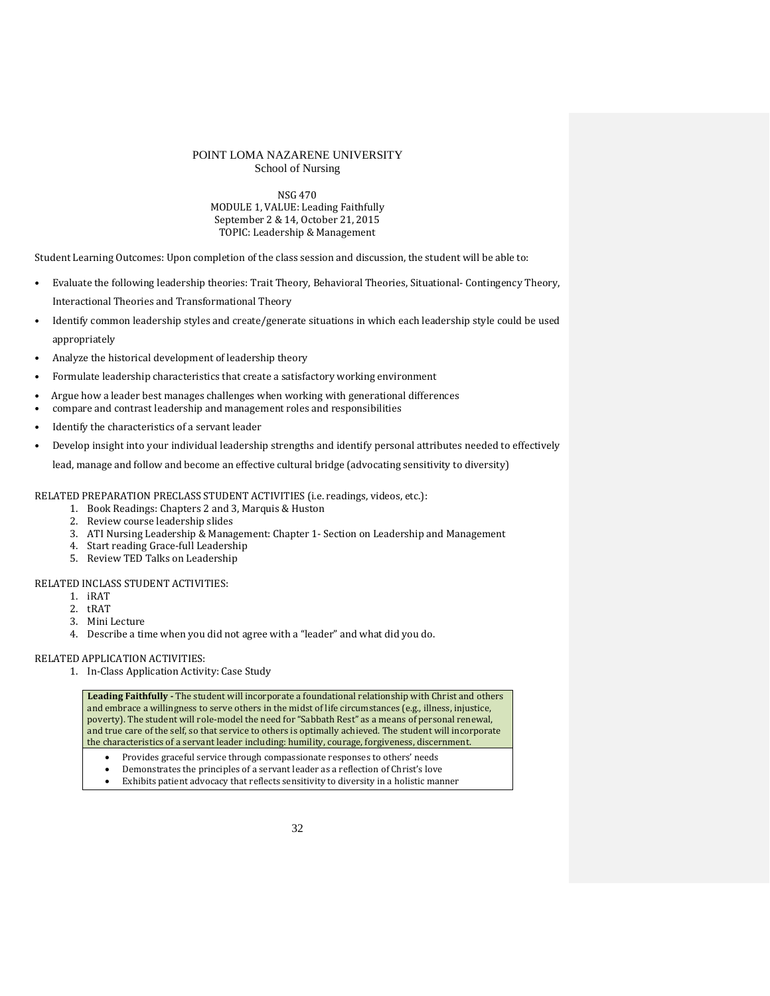NSG 470 MODULE 1, VALUE: Leading Faithfully September 2 & 14, October 21, 2015 TOPIC: Leadership & Management

Student Learning Outcomes: Upon completion of the class session and discussion, the student will be able to:

- Evaluate the following leadership theories: Trait Theory, Behavioral Theories, Situational- Contingency Theory, Interactional Theories and Transformational Theory
- Identify common leadership styles and create/generate situations in which each leadership style could be used appropriately
- Analyze the historical development of leadership theory
- Formulate leadership characteristics that create a satisfactory working environment
- Argue how a leader best manages challenges when working with generational differences
- compare and contrast leadership and management roles and responsibilities
- Identify the characteristics of a servant leader
- Develop insight into your individual leadership strengths and identify personal attributes needed to effectively

lead, manage and follow and become an effective cultural bridge (advocating sensitivity to diversity)

RELATED PREPARATION PRECLASS STUDENT ACTIVITIES (i.e. readings, videos, etc.):

- 1. Book Readings: Chapters 2 and 3, Marquis & Huston
- 2. Review course leadership slides
- 3. ATI Nursing Leadership & Management: Chapter 1- Section on Leadership and Management
- 4. Start reading Grace-full Leadership
- 5. Review TED Talks on Leadership

#### RELATED INCLASS STUDENT ACTIVITIES:

- 1. iRAT
- 2. tRAT
- 3. Mini Lecture
- 4. Describe a time when you did not agree with a "leader" and what did you do.

### RELATED APPLICATION ACTIVITIES:

1. In-Class Application Activity: Case Study

**Leading Faithfully -** The student will incorporate a foundational relationship with Christ and others and embrace a willingness to serve others in the midst of life circumstances (e.g., illness, injustice, poverty). The student will role-model the need for "Sabbath Rest" as a means of personal renewal, and true care of the self, so that service to others is optimally achieved. The student will incorporate the characteristics of a servant leader including: humility, courage, forgiveness, discernment.

- Provides graceful service through compassionate responses to others' needs
- Demonstrates the principles of a servant leader as a reflection of Christ's love
- Exhibits patient advocacy that reflects sensitivity to diversity in a holistic manner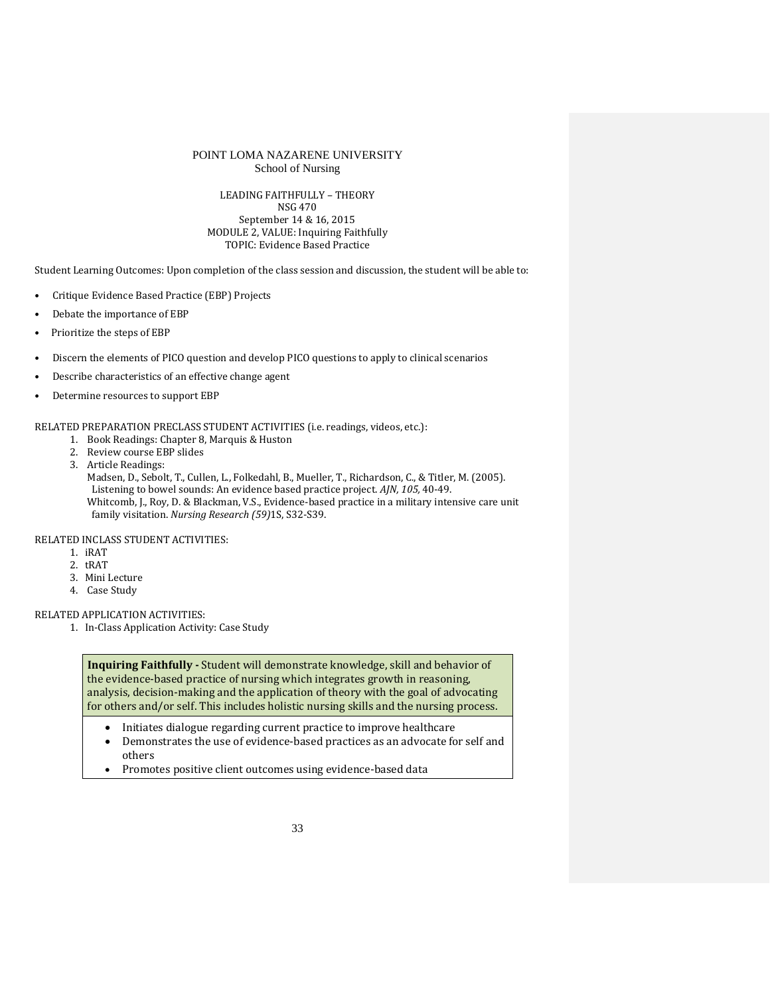#### LEADING FAITHFULLY – THEORY NSG 470

September 14 & 16, 2015 MODULE 2, VALUE: Inquiring Faithfully TOPIC: Evidence Based Practice

Student Learning Outcomes: Upon completion of the class session and discussion, the student will be able to:

- Critique Evidence Based Practice (EBP) Projects
- Debate the importance of EBP
- Prioritize the steps of EBP
- Discern the elements of PICO question and develop PICO questions to apply to clinical scenarios
- Describe characteristics of an effective change agent
- Determine resources to support EBP

RELATED PREPARATION PRECLASS STUDENT ACTIVITIES (i.e. readings, videos, etc.):

- 1. Book Readings: Chapter 8, Marquis & Huston
- 2. Review course EBP slides
- 3. Article Readings:

Madsen, D., Sebolt, T., Cullen, L., Folkedahl, B., Mueller, T., Richardson, C., & Titler, M. (2005). Listening to bowel sounds: An evidence based practice project. *AJN, 105,* 40-49. Whitcomb, J., Roy, D. & Blackman, V.S., Evidence-based practice in a military intensive care unit family visitation. *Nursing Research (59)*1S, S32-S39.

RELATED INCLASS STUDENT ACTIVITIES:

- 1. iRAT
- 2. tRAT
- 3. Mini Lecture
- 4. Case Study

RELATED APPLICATION ACTIVITIES:

1. In-Class Application Activity: Case Study

**Inquiring Faithfully -** Student will demonstrate knowledge, skill and behavior of the evidence-based practice of nursing which integrates growth in reasoning, analysis, decision-making and the application of theory with the goal of advocating for others and/or self. This includes holistic nursing skills and the nursing process.

- Initiates dialogue regarding current practice to improve healthcare
- Demonstrates the use of evidence-based practices as an advocate for self and others
- Promotes positive client outcomes using evidence-based data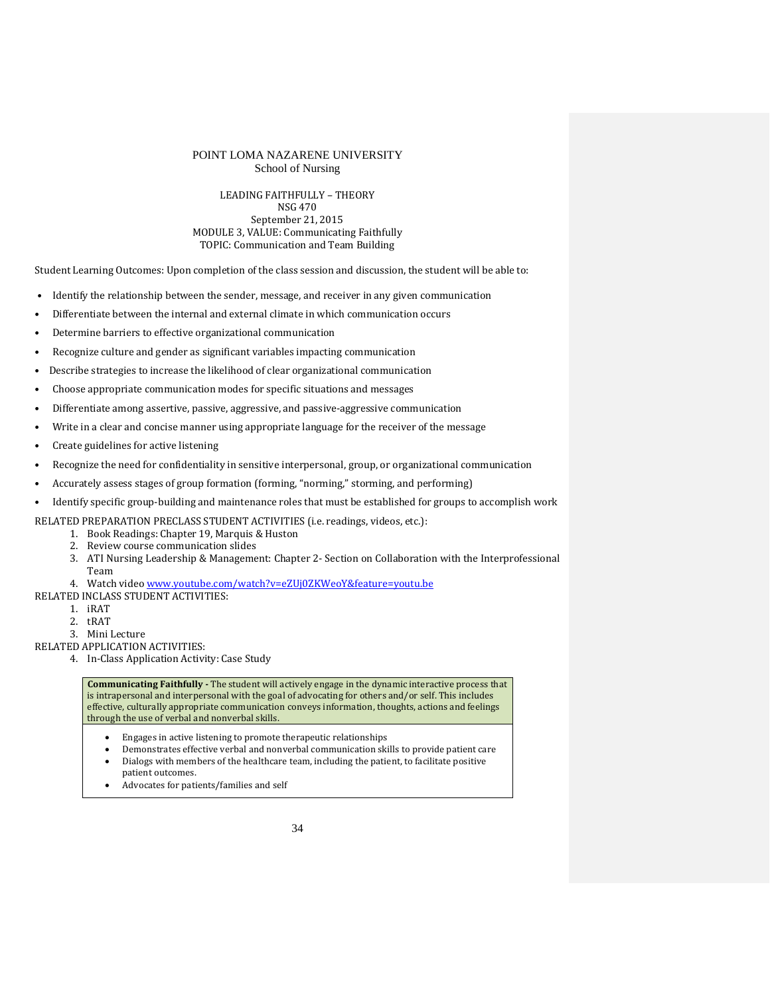### LEADING FAITHFULLY – THEORY NSG 470 September 21, 2015 MODULE 3, VALUE: Communicating Faithfully TOPIC: Communication and Team Building

Student Learning Outcomes: Upon completion of the class session and discussion, the student will be able to:

- Identify the relationship between the sender, message, and receiver in any given communication
- Differentiate between the internal and external climate in which communication occurs
- Determine barriers to effective organizational communication
- Recognize culture and gender as significant variables impacting communication
- Describe strategies to increase the likelihood of clear organizational communication
- Choose appropriate communication modes for specific situations and messages
- Differentiate among assertive, passive, aggressive, and passive-aggressive communication
- Write in a clear and concise manner using appropriate language for the receiver of the message
- Create guidelines for active listening
- Recognize the need for confidentiality in sensitive interpersonal, group, or organizational communication
- Accurately assess stages of group formation (forming, "norming," storming, and performing)
- Identify specific group-building and maintenance roles that must be established for groups to accomplish work

RELATED PREPARATION PRECLASS STUDENT ACTIVITIES (i.e. readings, videos, etc.):

- 1. Book Readings: Chapter 19, Marquis & Huston
	- 2. Review course communication slides
	- 3. ATI Nursing Leadership & Management: Chapter 2- Section on Collaboration with the Interprofessional Team

4. Watch video [www.youtube.com/watch?v=eZUj0ZKWeoY&feature=youtu.be](http://www.youtube.com/watch?v=eZUj0ZKWeoY&feature=youtu.be)

- RELATED INCLASS STUDENT ACTIVITIES:
	- 1. iRAT
	- 2. tRAT
	- 3. Mini Lecture

RELATED APPLICATION ACTIVITIES:

4. In-Class Application Activity: Case Study

- Engages in active listening to promote therapeutic relationships
- Demonstrates effective verbal and nonverbal communication skills to provide patient care • Dialogs with members of the healthcare team, including the patient, to facilitate positive
- patient outcomes.
- Advocates for patients/families and self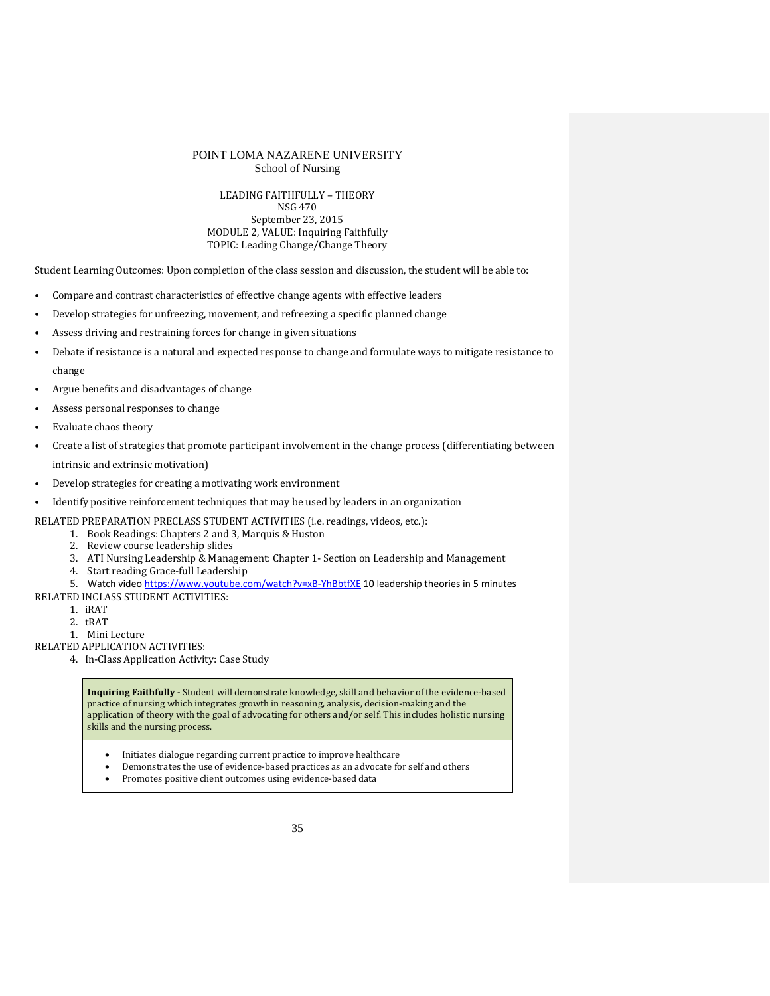### LEADING FAITHFULLY – THEORY NSG 470 September 23, 2015 MODULE 2, VALUE: Inquiring Faithfully TOPIC: Leading Change/Change Theory

Student Learning Outcomes: Upon completion of the class session and discussion, the student will be able to:

- Compare and contrast characteristics of effective change agents with effective leaders
- Develop strategies for unfreezing, movement, and refreezing a specific planned change
- Assess driving and restraining forces for change in given situations
- Debate if resistance is a natural and expected response to change and formulate ways to mitigate resistance to change
- Argue benefits and disadvantages of change
- Assess personal responses to change
- Evaluate chaos theory
- Create a list of strategies that promote participant involvement in the change process (differentiating between

intrinsic and extrinsic motivation)

- Develop strategies for creating a motivating work environment
- Identify positive reinforcement techniques that may be used by leaders in an organization

RELATED PREPARATION PRECLASS STUDENT ACTIVITIES (i.e. readings, videos, etc.):

- 1. Book Readings: Chapters 2 and 3, Marquis & Huston
- 2. Review course leadership slides
- 3. ATI Nursing Leadership & Management: Chapter 1- Section on Leadership and Management
- 4. Start reading Grace-full Leadership
- 5. Watch vide[o https://www.youtube.com/watch?v=xB-YhBbtfXE](https://www.youtube.com/watch?v=xB-YhBbtfXE) 10 leadership theories in 5 minutes
- RELATED INCLASS STUDENT ACTIVITIES:
	- 1. iRAT
	- 2. tRAT
	- 1. Mini Lecture

RELATED APPLICATION ACTIVITIES:

4. In-Class Application Activity: Case Study

**Inquiring Faithfully -** Student will demonstrate knowledge, skill and behavior of the evidence-based practice of nursing which integrates growth in reasoning, analysis, decision-making and the application of theory with the goal of advocating for others and/or self. This includes holistic nursing skills and the nursing process.

- Initiates dialogue regarding current practice to improve healthcare
- Demonstrates the use of evidence-based practices as an advocate for self and others<br>• Promotes nositive client outcomes using evidence-based data
- Promotes positive client outcomes using evidence-based data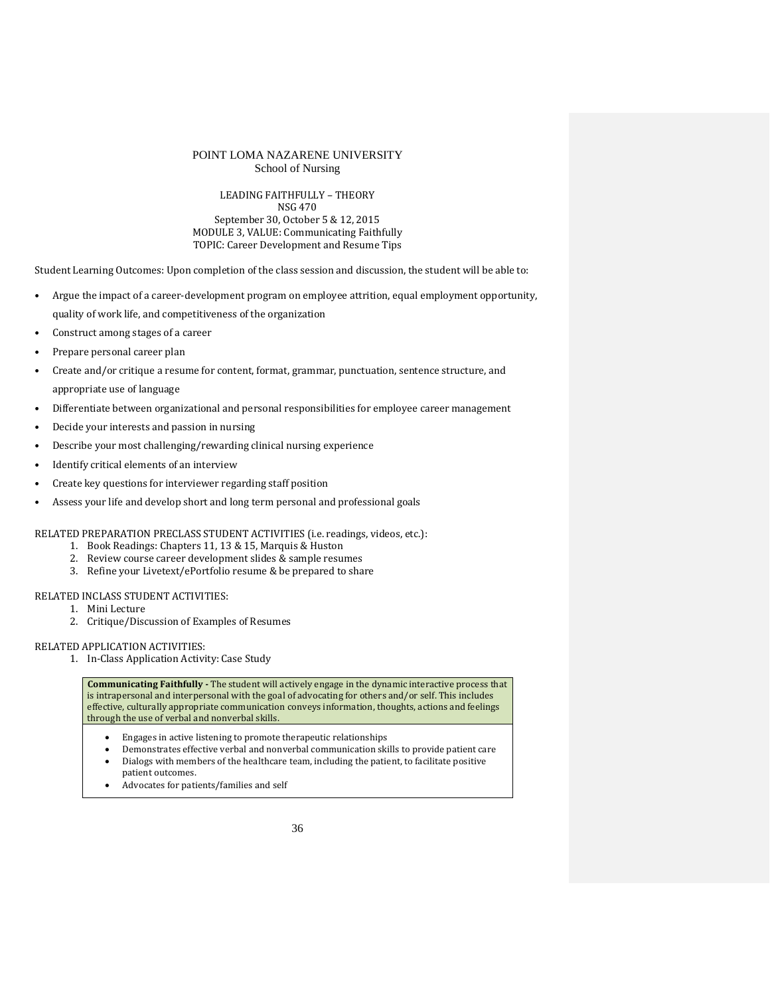## LEADING FAITHFULLY – THEORY

NSG 470 September 30, October 5 & 12, 2015 MODULE 3, VALUE: Communicating Faithfully TOPIC: Career Development and Resume Tips

Student Learning Outcomes: Upon completion of the class session and discussion, the student will be able to:

- Argue the impact of a career-development program on employee attrition, equal employment opportunity, quality of work life, and competitiveness of the organization
- Construct among stages of a career
- Prepare personal career plan
- Create and/or critique a resume for content, format, grammar, punctuation, sentence structure, and appropriate use of language
- Differentiate between organizational and personal responsibilities for employee career management
- Decide your interests and passion in nursing
- Describe your most challenging/rewarding clinical nursing experience
- Identify critical elements of an interview
- Create key questions for interviewer regarding staff position
- Assess your life and develop short and long term personal and professional goals

RELATED PREPARATION PRECLASS STUDENT ACTIVITIES (i.e. readings, videos, etc.):

- 1. Book Readings: Chapters 11, 13 & 15, Marquis & Huston
- 2. Review course career development slides & sample resumes
- 3. Refine your Livetext/ePortfolio resume & be prepared to share

## RELATED INCLASS STUDENT ACTIVITIES:

- 1. Mini Lecture
- 2. Critique/Discussion of Examples of Resumes

### RELATED APPLICATION ACTIVITIES:

1. In-Class Application Activity: Case Study

- Engages in active listening to promote therapeutic relationships
- Demonstrates effective verbal and nonverbal communication skills to provide patient care • Dialogs with members of the healthcare team, including the patient, to facilitate positive
- patient outcomes.
- Advocates for patients/families and self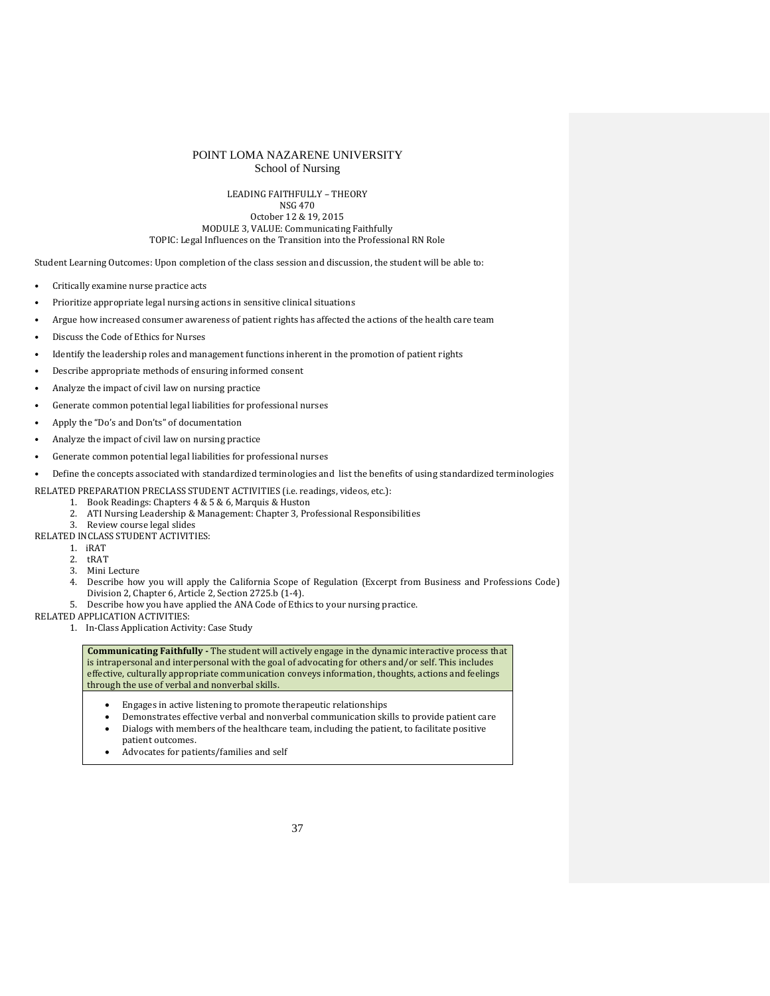LEADING FAITHFULLY – THEORY NSG 470 October 12 & 19, 2015 MODULE 3, VALUE: Communicating Faithfully TOPIC: Legal Influences on the Transition into the Professional RN Role

Student Learning Outcomes: Upon completion of the class session and discussion, the student will be able to:

- Critically examine nurse practice acts
- Prioritize appropriate legal nursing actions in sensitive clinical situations
- Argue how increased consumer awareness of patient rights has affected the actions of the health care team
- Discuss the Code of Ethics for Nurses
- Identify the leadership roles and management functions inherent in the promotion of patient rights
- Describe appropriate methods of ensuring informed consent
- Analyze the impact of civil law on nursing practice
- Generate common potential legal liabilities for professional nurses
- Apply the "Do's and Don'ts" of documentation
- Analyze the impact of civil law on nursing practice
- Generate common potential legal liabilities for professional nurses
- Define the concepts associated with standardized terminologies and list the benefits of using standardized terminologies

RELATED PREPARATION PRECLASS STUDENT ACTIVITIES (i.e. readings, videos, etc.):

- 1. Book Readings: Chapters 4 & 5 & 6, Marquis & Huston
- 2. ATI Nursing Leadership & Management: Chapter 3, Professional Responsibilities
- 3. Review course legal slides
- RELATED INCLASS STUDENT ACTIVITIES:
	- 1. iRAT
	- 2. tRAT<br>3. Mini Mini Lecture
	-
	- 4. Describe how you will apply the California Scope of Regulation (Excerpt from Business and Professions Code) Division 2, Chapter 6, Article 2, Section 2725.b (1-4).
	- 5. Describe how you have applied the ANA Code of Ethics to your nursing practice.

RELATED APPLICATION ACTIVITIES:

1. In-Class Application Activity: Case Study

- Engages in active listening to promote therapeutic relationships
- Demonstrates effective verbal and nonverbal communication skills to provide patient care • Dialogs with members of the healthcare team, including the patient, to facilitate positive patient outcomes.
- Advocates for patients/families and self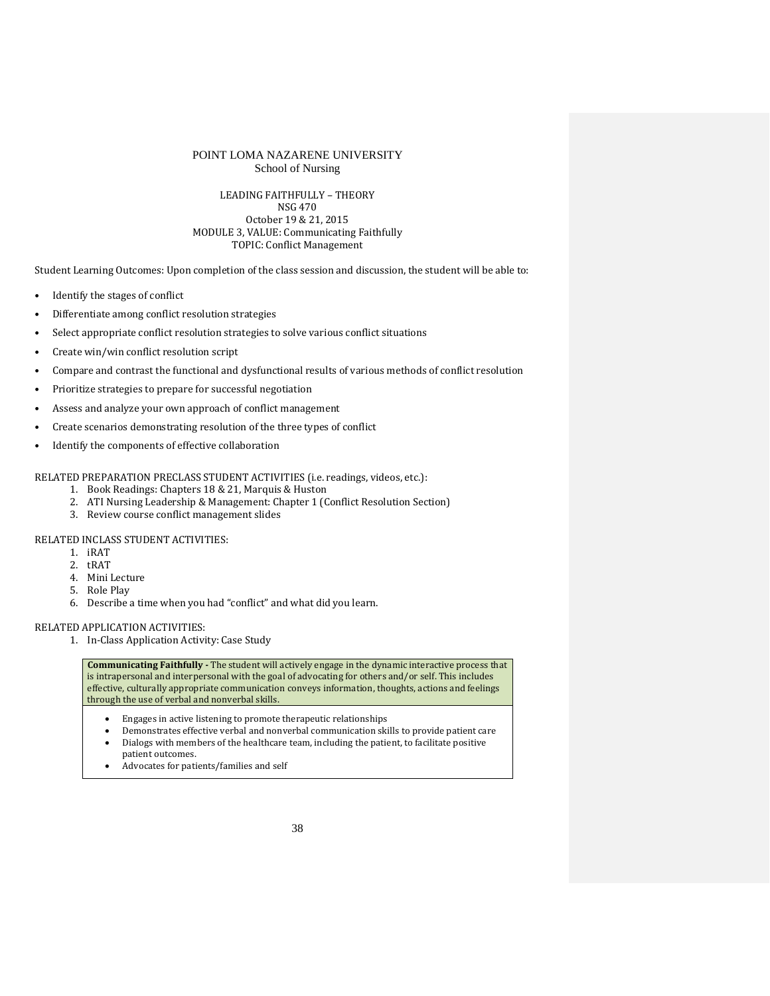### LEADING FAITHFULLY – THEORY NSG 470 October 19 & 21, 2015 MODULE 3, VALUE: Communicating Faithfully TOPIC: Conflict Management

Student Learning Outcomes: Upon completion of the class session and discussion, the student will be able to:

- Identify the stages of conflict
- Differentiate among conflict resolution strategies
- Select appropriate conflict resolution strategies to solve various conflict situations
- Create win/win conflict resolution script
- Compare and contrast the functional and dysfunctional results of various methods of conflict resolution
- Prioritize strategies to prepare for successful negotiation
- Assess and analyze your own approach of conflict management
- Create scenarios demonstrating resolution of the three types of conflict
- Identify the components of effective collaboration

RELATED PREPARATION PRECLASS STUDENT ACTIVITIES (i.e. readings, videos, etc.):

- 1. Book Readings: Chapters 18 & 21, Marquis & Huston
- 2. ATI Nursing Leadership & Management: Chapter 1 (Conflict Resolution Section)
- 3. Review course conflict management slides

RELATED INCLASS STUDENT ACTIVITIES:

- 1. iRAT
- 2. tRAT
- 4. Mini Lecture
- 5. Role Play
- 6. Describe a time when you had "conflict" and what did you learn.

### RELATED APPLICATION ACTIVITIES:

1. In-Class Application Activity: Case Study

- Engages in active listening to promote therapeutic relationships
- Demonstrates effective verbal and nonverbal communication skills to provide patient care • Dialogs with members of the healthcare team, including the patient, to facilitate positive patient outcomes.
- Advocates for patients/families and self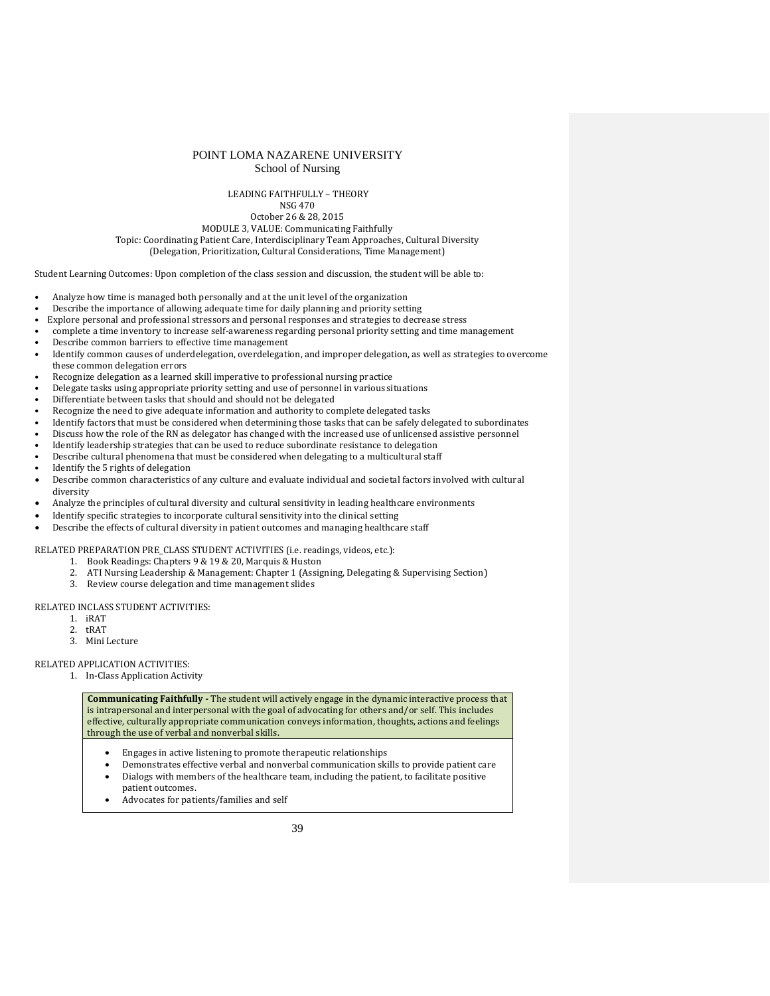# POINT LOMA NAZARENE UNIVERSITY

School of Nursing

### LEADING FAITHFULLY – THEORY

NSG 470 October 26 & 28, 2015

MODULE 3, VALUE: Communicating Faithfully

Topic: Coordinating Patient Care, Interdisciplinary Team Approaches, Cultural Diversity

(Delegation, Prioritization, Cultural Considerations, Time Management)

Student Learning Outcomes: Upon completion of the class session and discussion, the student will be able to:

- Analyze how time is managed both personally and at the unit level of the organization
- Describe the importance of allowing adequate time for daily planning and priority setting<br>• Explore personal and professional stressors and personal responses and strategies to decre
- Explore personal and professional stressors and personal responses and strategies to decrease stress
- complete a time inventory to increase self-awareness regarding personal priority setting and time management
- Describe common barriers to effective time management
- Identify common causes of underdelegation, overdelegation, and improper delegation, as well as strategies to overcome these common delegation errors
- Recognize delegation as a learned skill imperative to professional nursing practice
- Delegate tasks using appropriate priority setting and use of personnel in various situations
- Differentiate between tasks that should and should not be delegated
- Recognize the need to give adequate information and authority to complete delegated tasks
- Identify factors that must be considered when determining those tasks that can be safely delegated to subordinates
- Discuss how the role of the RN as delegator has changed with the increased use of unlicensed assistive personnel
- Identify leadership strategies that can be used to reduce subordinate resistance to delegation
- Describe cultural phenomena that must be considered when delegating to a multicultural staff
- Identify the 5 rights of delegation
- Describe common characteristics of any culture and evaluate individual and societal factors involved with cultural diversity
- Analyze the principles of cultural diversity and cultural sensitivity in leading healthcare environments
- Identify specific strategies to incorporate cultural sensitivity into the clinical setting
- Describe the effects of cultural diversity in patient outcomes and managing healthcare staff

RELATED PREPARATION PRE\_CLASS STUDENT ACTIVITIES (i.e. readings, videos, etc.):

- 1. Book Readings: Chapters 9 & 19 & 20, Marquis & Huston
- 2. ATI Nursing Leadership & Management: Chapter 1 (Assigning, Delegating & Supervising Section)
- 3. Review course delegation and time management slides

RELATED INCLASS STUDENT ACTIVITIES:

- 1. iRAT
- 2. tRAT
- 3. Mini Lecture

RELATED APPLICATION ACTIVITIES:

1. In-Class Application Activity

- Engages in active listening to promote therapeutic relationships
- Demonstrates effective verbal and nonverbal communication skills to provide patient care • Dialogs with members of the healthcare team, including the patient, to facilitate positive
	- patient outcomes.
- Advocates for patients/families and self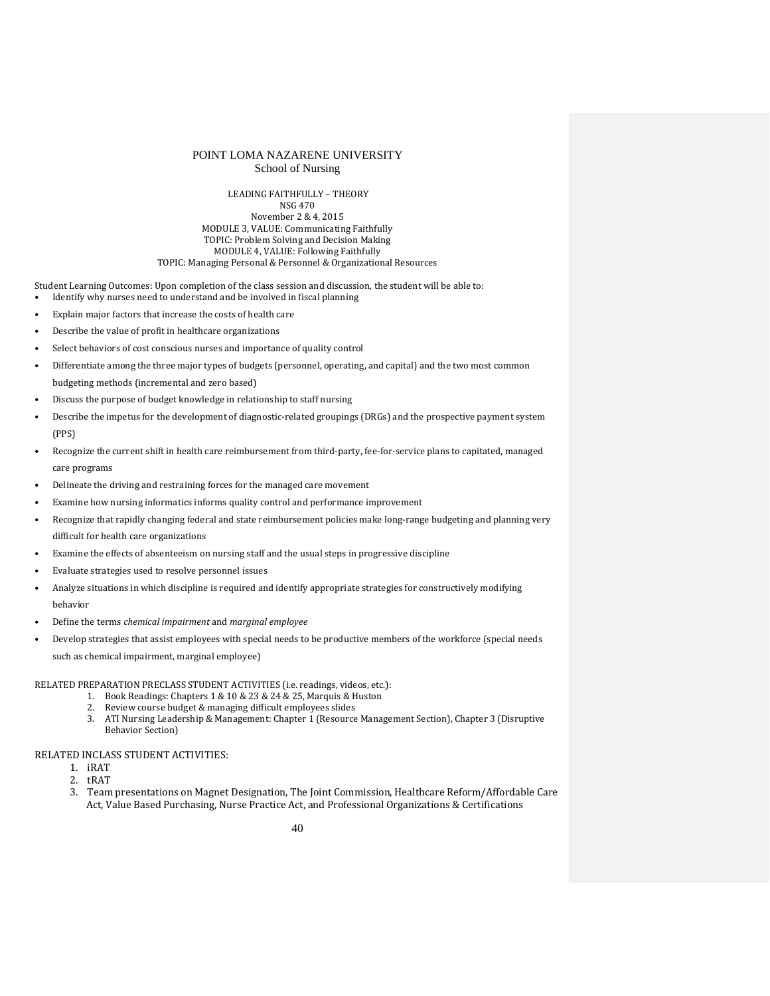#### LEADING FAITHFULLY – THEORY NSG 470 November 2 & 4, 2015 MODULE 3, VALUE: Communicating Faithfully TOPIC: Problem Solving and Decision Making MODULE 4, VALUE: Following Faithfully TOPIC: Managing Personal & Personnel & Organizational Resources

Student Learning Outcomes: Upon completion of the class session and discussion, the student will be able to:

- Identify why nurses need to understand and be involved in fiscal planning
- Explain major factors that increase the costs of health care
- Describe the value of profit in healthcare organizations
- Select behaviors of cost conscious nurses and importance of quality control
- Differentiate among the three major types of budgets (personnel, operating, and capital) and the two most common budgeting methods (incremental and zero based)
- Discuss the purpose of budget knowledge in relationship to staff nursing
- Describe the impetus for the development of diagnostic-related groupings (DRGs) and the prospective payment system (PPS)
- Recognize the current shift in health care reimbursement from third-party, fee-for-service plans to capitated, managed care programs
- Delineate the driving and restraining forces for the managed care movement
- Examine how nursing informatics informs quality control and performance improvement
- Recognize that rapidly changing federal and state reimbursement policies make long-range budgeting and planning very difficult for health care organizations
- Examine the effects of absenteeism on nursing staff and the usual steps in progressive discipline
- Evaluate strategies used to resolve personnel issues
- Analyze situations in which discipline is required and identify appropriate strategies for constructively modifying behavior
- Define the terms *chemical impairment* and *marginal employee*
- Develop strategies that assist employees with special needs to be productive members of the workforce (special needs such as chemical impairment, marginal employee)

RELATED PREPARATION PRECLASS STUDENT ACTIVITIES (i.e. readings, videos, etc.):

- 1. Book Readings: Chapters 1 & 10 & 23 & 24 & 25, Marquis & Huston
- 2. Review course budget & managing difficult employees slides
- 3. ATI Nursing Leadership & Management: Chapter 1 (Resource Management Section), Chapter 3 (Disruptive Behavior Section)

### RELATED INCLASS STUDENT ACTIVITIES:

- 1. iRAT
- 2. tRAT
- 3. Team presentations on Magnet Designation, The Joint Commission, Healthcare Reform/Affordable Care Act, Value Based Purchasing, Nurse Practice Act, and Professional Organizations & Certifications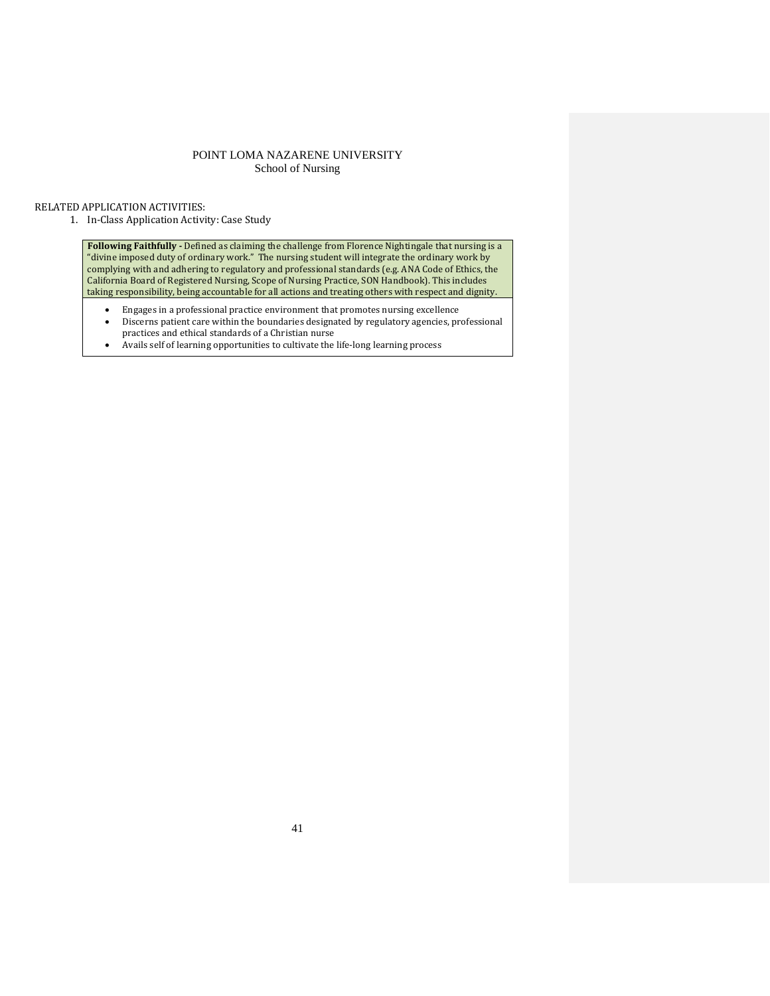### RELATED APPLICATION ACTIVITIES:

1. In-Class Application Activity: Case Study

**Following Faithfully -** Defined as claiming the challenge from Florence Nightingale that nursing is a "divine imposed duty of ordinary work." The nursing student will integrate the ordinary work by complying with and adhering to regulatory and professional standards (e.g. ANA Code of Ethics, the California Board of Registered Nursing, Scope of Nursing Practice, SON Handbook). This includes taking responsibility, being accountable for all actions and treating others with respect and dignity.

- Engages in a professional practice environment that promotes nursing excellence<br>• Discerns patient care within the houndaries designated by regulatory agencies, pro
- Discerns patient care within the boundaries designated by regulatory agencies, professional practices and ethical standards of a Christian nurse
- Avails self of learning opportunities to cultivate the life-long learning process